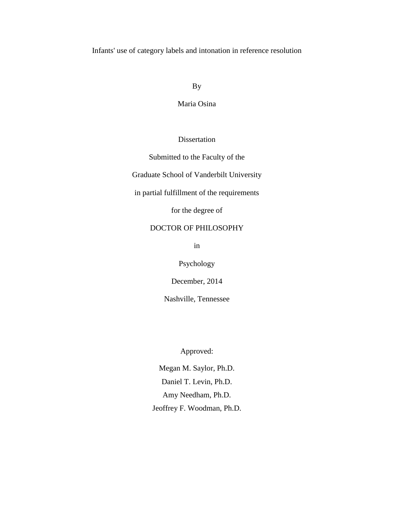Infants' use of category labels and intonation in reference resolution

By

Maria Osina

Dissertation

Submitted to the Faculty of the

Graduate School of Vanderbilt University

in partial fulfillment of the requirements

for the degree of

# DOCTOR OF PHILOSOPHY

in

Psychology

December, 2014

Nashville, Tennessee

Approved:

Megan M. Saylor, Ph.D. Daniel T. Levin, Ph.D. Amy Needham, Ph.D. Jeoffrey F. Woodman, Ph.D.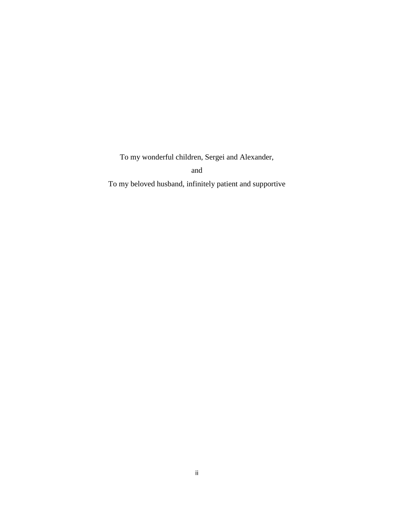To my wonderful children, Sergei and Alexander,

and

To my beloved husband, infinitely patient and supportive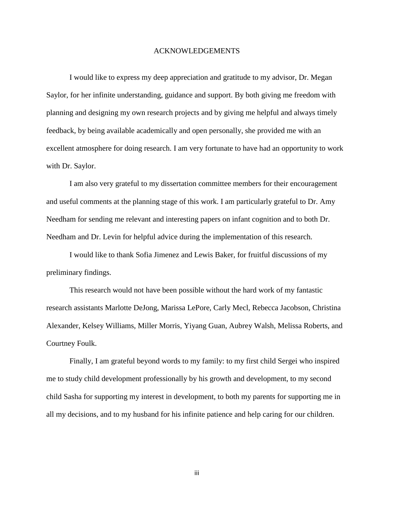#### ACKNOWLEDGEMENTS

I would like to express my deep appreciation and gratitude to my advisor, Dr. Megan Saylor, for her infinite understanding, guidance and support. By both giving me freedom with planning and designing my own research projects and by giving me helpful and always timely feedback, by being available academically and open personally, she provided me with an excellent atmosphere for doing research. I am very fortunate to have had an opportunity to work with Dr. Saylor.

I am also very grateful to my dissertation committee members for their encouragement and useful comments at the planning stage of this work. I am particularly grateful to Dr. Amy Needham for sending me relevant and interesting papers on infant cognition and to both Dr. Needham and Dr. Levin for helpful advice during the implementation of this research.

I would like to thank Sofia Jimenez and Lewis Baker, for fruitful discussions of my preliminary findings.

This research would not have been possible without the hard work of my fantastic research assistants Marlotte DeJong, Marissa LePore, Carly Mecl, Rebecca Jacobson, Christina Alexander, Kelsey Williams, Miller Morris, Yiyang Guan, Aubrey Walsh, Melissa Roberts, and Courtney Foulk.

Finally, I am grateful beyond words to my family: to my first child Sergei who inspired me to study child development professionally by his growth and development, to my second child Sasha for supporting my interest in development, to both my parents for supporting me in all my decisions, and to my husband for his infinite patience and help caring for our children.

iii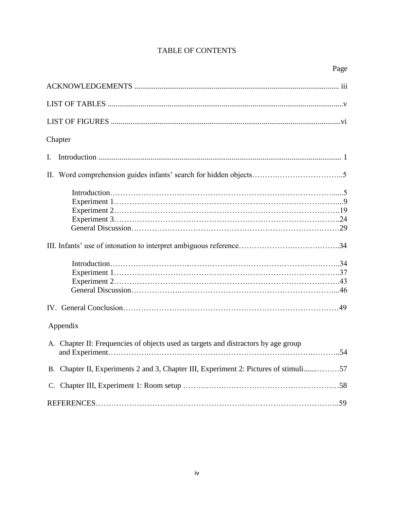# TABLE OF CONTENTS

| Chapter                                                                              |
|--------------------------------------------------------------------------------------|
| Ι.                                                                                   |
|                                                                                      |
|                                                                                      |
|                                                                                      |
| Appendix                                                                             |
| A. Chapter II: Frequencies of objects used as targets and distractors by age group   |
| B. Chapter II, Experiments 2 and 3, Chapter III, Experiment 2: Pictures of stimuli57 |
|                                                                                      |
|                                                                                      |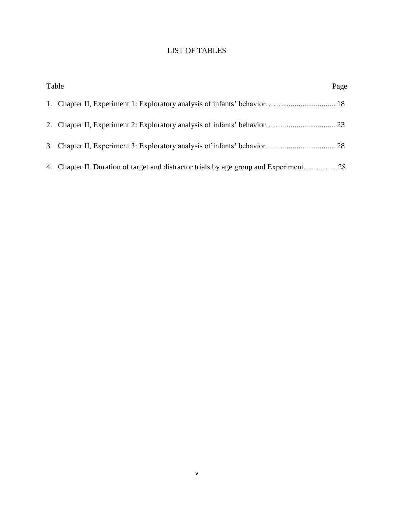# LIST OF TABLES

| Table                                                                                 | Page |
|---------------------------------------------------------------------------------------|------|
|                                                                                       |      |
|                                                                                       |      |
|                                                                                       |      |
| 4. Chapter II. Duration of target and distractor trials by age group and Experiment28 |      |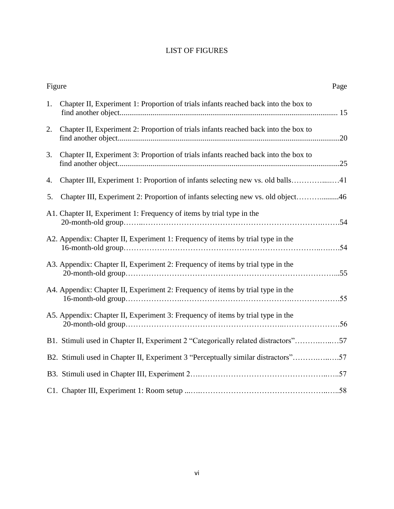# LIST OF FIGURES

| Figure |                                                                                     | Page |
|--------|-------------------------------------------------------------------------------------|------|
| 1.     | Chapter II, Experiment 1: Proportion of trials infants reached back into the box to |      |
| 2.     | Chapter II, Experiment 2: Proportion of trials infants reached back into the box to |      |
| 3.     | Chapter II, Experiment 3: Proportion of trials infants reached back into the box to |      |
| 4.     | Chapter III, Experiment 1: Proportion of infants selecting new vs. old balls41      |      |
| 5.     | Chapter III, Experiment 2: Proportion of infants selecting new vs. old object46     |      |
|        | A1. Chapter II, Experiment 1: Frequency of items by trial type in the               |      |
|        | A2. Appendix: Chapter II, Experiment 1: Frequency of items by trial type in the     |      |
|        | A3. Appendix: Chapter II, Experiment 2: Frequency of items by trial type in the     |      |
|        | A4. Appendix: Chapter II, Experiment 2: Frequency of items by trial type in the     |      |
|        | A5. Appendix: Chapter II, Experiment 3: Frequency of items by trial type in the     |      |
|        | B1. Stimuli used in Chapter II, Experiment 2 "Categorically related distractors"57  |      |
|        | B2. Stimuli used in Chapter II, Experiment 3 "Perceptually similar distractors"57   |      |
|        |                                                                                     |      |
|        |                                                                                     |      |
|        |                                                                                     |      |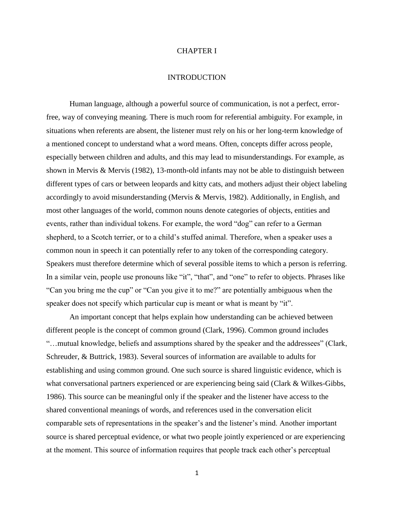#### CHAPTER I

#### INTRODUCTION

Human language, although a powerful source of communication, is not a perfect, errorfree, way of conveying meaning. There is much room for referential ambiguity. For example, in situations when referents are absent, the listener must rely on his or her long-term knowledge of a mentioned concept to understand what a word means. Often, concepts differ across people, especially between children and adults, and this may lead to misunderstandings. For example, as shown in Mervis & Mervis (1982), 13-month-old infants may not be able to distinguish between different types of cars or between leopards and kitty cats, and mothers adjust their object labeling accordingly to avoid misunderstanding (Mervis & Mervis, 1982). Additionally, in English, and most other languages of the world, common nouns denote categories of objects, entities and events, rather than individual tokens. For example, the word "dog" can refer to a German shepherd, to a Scotch terrier, or to a child's stuffed animal. Therefore, when a speaker uses a common noun in speech it can potentially refer to any token of the corresponding category. Speakers must therefore determine which of several possible items to which a person is referring. In a similar vein, people use pronouns like "it", "that", and "one" to refer to objects. Phrases like "Can you bring me the cup" or "Can you give it to me?" are potentially ambiguous when the speaker does not specify which particular cup is meant or what is meant by "it".

An important concept that helps explain how understanding can be achieved between different people is the concept of common ground (Clark, 1996). Common ground includes "…mutual knowledge, beliefs and assumptions shared by the speaker and the addressees" (Clark, Schreuder, & Buttrick, 1983). Several sources of information are available to adults for establishing and using common ground. One such source is shared linguistic evidence, which is what conversational partners experienced or are experiencing being said (Clark & Wilkes-Gibbs, 1986). This source can be meaningful only if the speaker and the listener have access to the shared conventional meanings of words, and references used in the conversation elicit comparable sets of representations in the speaker's and the listener's mind. Another important source is shared perceptual evidence, or what two people jointly experienced or are experiencing at the moment. This source of information requires that people track each other's perceptual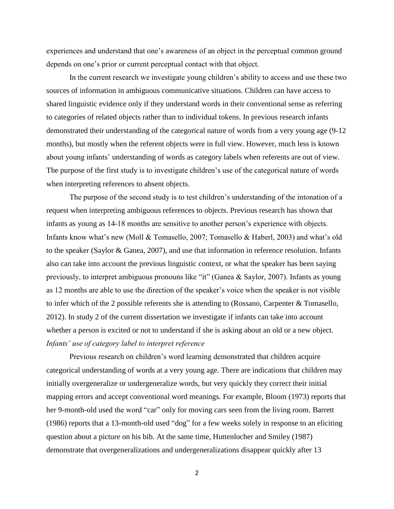experiences and understand that one's awareness of an object in the perceptual common ground depends on one's prior or current perceptual contact with that object.

In the current research we investigate young children's ability to access and use these two sources of information in ambiguous communicative situations. Children can have access to shared linguistic evidence only if they understand words in their conventional sense as referring to categories of related objects rather than to individual tokens. In previous research infants demonstrated their understanding of the categorical nature of words from a very young age (9-12 months), but mostly when the referent objects were in full view. However, much less is known about young infants' understanding of words as category labels when referents are out of view. The purpose of the first study is to investigate children's use of the categorical nature of words when interpreting references to absent objects.

The purpose of the second study is to test children's understanding of the intonation of a request when interpreting ambiguous references to objects. Previous research has shown that infants as young as 14-18 months are sensitive to another person's experience with objects. Infants know what's new (Moll & Tomasello, 2007; Tomasello & Haberl, 2003) and what's old to the speaker (Saylor & Ganea, 2007), and use that information in reference resolution. Infants also can take into account the previous linguistic context, or what the speaker has been saying previously, to interpret ambiguous pronouns like "it" (Ganea & Saylor, 2007). Infants as young as 12 months are able to use the direction of the speaker's voice when the speaker is not visible to infer which of the 2 possible referents she is attending to (Rossano, Carpenter & Tomasello, 2012). In study 2 of the current dissertation we investigate if infants can take into account whether a person is excited or not to understand if she is asking about an old or a new object. *Infants' use of category label to interpret reference* 

Previous research on children's word learning demonstrated that children acquire categorical understanding of words at a very young age. There are indications that children may initially overgeneralize or undergeneralize words, but very quickly they correct their initial mapping errors and accept conventional word meanings. For example, Bloom (1973) reports that her 9-month-old used the word "car" only for moving cars seen from the living room. Barrett (1986) reports that a 13-month-old used "dog" for a few weeks solely in response to an eliciting question about a picture on his bib. At the same time, Huttenlocher and Smiley (1987) demonstrate that overgeneralizations and undergeneralizations disappear quickly after 13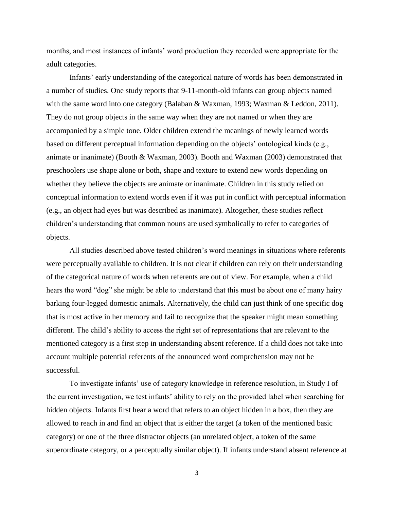months, and most instances of infants' word production they recorded were appropriate for the adult categories.

Infants' early understanding of the categorical nature of words has been demonstrated in a number of studies. One study reports that 9-11-month-old infants can group objects named with the same word into one category (Balaban & Waxman, 1993; Waxman & Leddon, 2011). They do not group objects in the same way when they are not named or when they are accompanied by a simple tone. Older children extend the meanings of newly learned words based on different perceptual information depending on the objects' ontological kinds (e.g., animate or inanimate) (Booth & Waxman, 2003). Booth and Waxman (2003) demonstrated that preschoolers use shape alone or both, shape and texture to extend new words depending on whether they believe the objects are animate or inanimate. Children in this study relied on conceptual information to extend words even if it was put in conflict with perceptual information (e.g., an object had eyes but was described as inanimate). Altogether, these studies reflect children's understanding that common nouns are used symbolically to refer to categories of objects.

All studies described above tested children's word meanings in situations where referents were perceptually available to children. It is not clear if children can rely on their understanding of the categorical nature of words when referents are out of view. For example, when a child hears the word "dog" she might be able to understand that this must be about one of many hairy barking four-legged domestic animals. Alternatively, the child can just think of one specific dog that is most active in her memory and fail to recognize that the speaker might mean something different. The child's ability to access the right set of representations that are relevant to the mentioned category is a first step in understanding absent reference. If a child does not take into account multiple potential referents of the announced word comprehension may not be successful.

To investigate infants' use of category knowledge in reference resolution, in Study I of the current investigation, we test infants' ability to rely on the provided label when searching for hidden objects. Infants first hear a word that refers to an object hidden in a box, then they are allowed to reach in and find an object that is either the target (a token of the mentioned basic category) or one of the three distractor objects (an unrelated object, a token of the same superordinate category, or a perceptually similar object). If infants understand absent reference at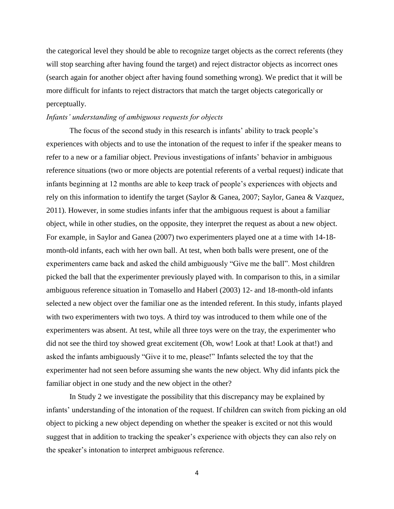the categorical level they should be able to recognize target objects as the correct referents (they will stop searching after having found the target) and reject distractor objects as incorrect ones (search again for another object after having found something wrong). We predict that it will be more difficult for infants to reject distractors that match the target objects categorically or perceptually.

#### *Infants' understanding of ambiguous requests for objects*

The focus of the second study in this research is infants' ability to track people's experiences with objects and to use the intonation of the request to infer if the speaker means to refer to a new or a familiar object. Previous investigations of infants' behavior in ambiguous reference situations (two or more objects are potential referents of a verbal request) indicate that infants beginning at 12 months are able to keep track of people's experiences with objects and rely on this information to identify the target (Saylor & Ganea, 2007; Saylor, Ganea & Vazquez, 2011). However, in some studies infants infer that the ambiguous request is about a familiar object, while in other studies, on the opposite, they interpret the request as about a new object. For example, in Saylor and Ganea (2007) two experimenters played one at a time with 14-18 month-old infants, each with her own ball. At test, when both balls were present, one of the experimenters came back and asked the child ambiguously "Give me the ball". Most children picked the ball that the experimenter previously played with. In comparison to this, in a similar ambiguous reference situation in Tomasello and Haberl (2003) 12- and 18-month-old infants selected a new object over the familiar one as the intended referent. In this study, infants played with two experimenters with two toys. A third toy was introduced to them while one of the experimenters was absent. At test, while all three toys were on the tray, the experimenter who did not see the third toy showed great excitement (Oh, wow! Look at that! Look at that!) and asked the infants ambiguously "Give it to me, please!" Infants selected the toy that the experimenter had not seen before assuming she wants the new object. Why did infants pick the familiar object in one study and the new object in the other?

In Study 2 we investigate the possibility that this discrepancy may be explained by infants' understanding of the intonation of the request. If children can switch from picking an old object to picking a new object depending on whether the speaker is excited or not this would suggest that in addition to tracking the speaker's experience with objects they can also rely on the speaker's intonation to interpret ambiguous reference.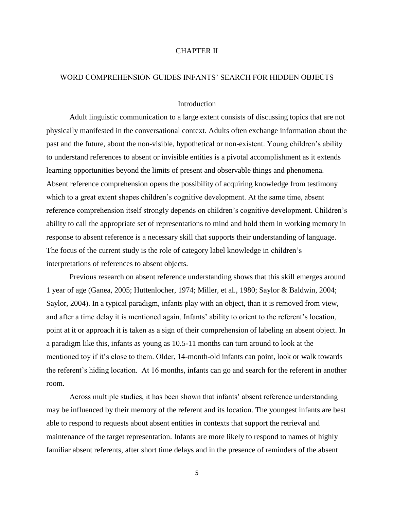#### CHAPTER II

#### WORD COMPREHENSION GUIDES INFANTS' SEARCH FOR HIDDEN OBJECTS

#### Introduction

Adult linguistic communication to a large extent consists of discussing topics that are not physically manifested in the conversational context. Adults often exchange information about the past and the future, about the non-visible, hypothetical or non-existent. Young children's ability to understand references to absent or invisible entities is a pivotal accomplishment as it extends learning opportunities beyond the limits of present and observable things and phenomena. Absent reference comprehension opens the possibility of acquiring knowledge from testimony which to a great extent shapes children's cognitive development. At the same time, absent reference comprehension itself strongly depends on children's cognitive development. Children's ability to call the appropriate set of representations to mind and hold them in working memory in response to absent reference is a necessary skill that supports their understanding of language. The focus of the current study is the role of category label knowledge in children's interpretations of references to absent objects.

Previous research on absent reference understanding shows that this skill emerges around 1 year of age (Ganea, 2005; Huttenlocher, 1974; Miller, et al., 1980; Saylor & Baldwin, 2004; Saylor, 2004). In a typical paradigm, infants play with an object, than it is removed from view, and after a time delay it is mentioned again. Infants' ability to orient to the referent's location, point at it or approach it is taken as a sign of their comprehension of labeling an absent object. In a paradigm like this, infants as young as 10.5-11 months can turn around to look at the mentioned toy if it's close to them. Older, 14-month-old infants can point, look or walk towards the referent's hiding location. At 16 months, infants can go and search for the referent in another room.

Across multiple studies, it has been shown that infants' absent reference understanding may be influenced by their memory of the referent and its location. The youngest infants are best able to respond to requests about absent entities in contexts that support the retrieval and maintenance of the target representation. Infants are more likely to respond to names of highly familiar absent referents, after short time delays and in the presence of reminders of the absent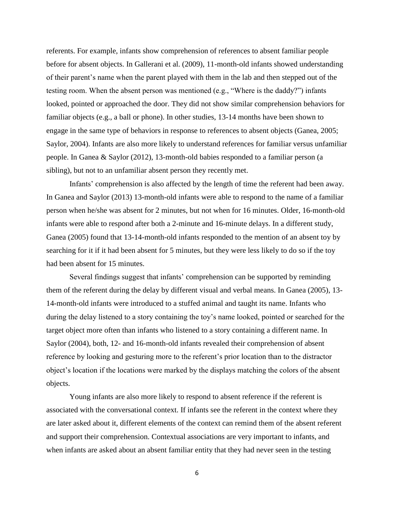referents. For example, infants show comprehension of references to absent familiar people before for absent objects. In Gallerani et al. (2009), 11-month-old infants showed understanding of their parent's name when the parent played with them in the lab and then stepped out of the testing room. When the absent person was mentioned (e.g., "Where is the daddy?") infants looked, pointed or approached the door. They did not show similar comprehension behaviors for familiar objects (e.g., a ball or phone). In other studies, 13-14 months have been shown to engage in the same type of behaviors in response to references to absent objects (Ganea, 2005; Saylor, 2004). Infants are also more likely to understand references for familiar versus unfamiliar people. In Ganea & Saylor (2012), 13-month-old babies responded to a familiar person (a sibling), but not to an unfamiliar absent person they recently met.

Infants' comprehension is also affected by the length of time the referent had been away. In Ganea and Saylor (2013) 13-month-old infants were able to respond to the name of a familiar person when he/she was absent for 2 minutes, but not when for 16 minutes. Older, 16-month-old infants were able to respond after both a 2-minute and 16-minute delays. In a different study, Ganea (2005) found that 13-14-month-old infants responded to the mention of an absent toy by searching for it if it had been absent for 5 minutes, but they were less likely to do so if the toy had been absent for 15 minutes.

Several findings suggest that infants' comprehension can be supported by reminding them of the referent during the delay by different visual and verbal means. In Ganea (2005), 13- 14-month-old infants were introduced to a stuffed animal and taught its name. Infants who during the delay listened to a story containing the toy's name looked, pointed or searched for the target object more often than infants who listened to a story containing a different name. In Saylor (2004), both, 12- and 16-month-old infants revealed their comprehension of absent reference by looking and gesturing more to the referent's prior location than to the distractor object's location if the locations were marked by the displays matching the colors of the absent objects.

Young infants are also more likely to respond to absent reference if the referent is associated with the conversational context. If infants see the referent in the context where they are later asked about it, different elements of the context can remind them of the absent referent and support their comprehension. Contextual associations are very important to infants, and when infants are asked about an absent familiar entity that they had never seen in the testing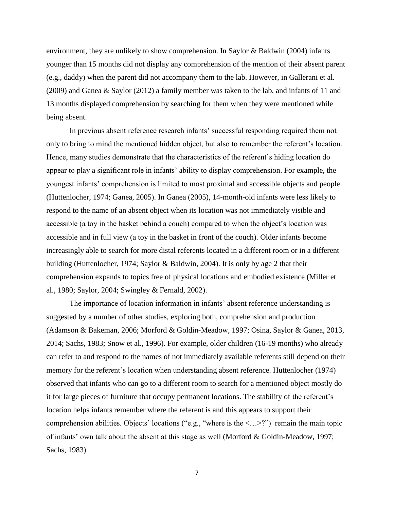environment, they are unlikely to show comprehension. In Saylor & Baldwin (2004) infants younger than 15 months did not display any comprehension of the mention of their absent parent (e.g., daddy) when the parent did not accompany them to the lab. However, in Gallerani et al. (2009) and Ganea & Saylor (2012) a family member was taken to the lab, and infants of 11 and 13 months displayed comprehension by searching for them when they were mentioned while being absent.

In previous absent reference research infants' successful responding required them not only to bring to mind the mentioned hidden object, but also to remember the referent's location. Hence, many studies demonstrate that the characteristics of the referent's hiding location do appear to play a significant role in infants' ability to display comprehension. For example, the youngest infants' comprehension is limited to most proximal and accessible objects and people (Huttenlocher, 1974; Ganea, 2005). In Ganea (2005), 14-month-old infants were less likely to respond to the name of an absent object when its location was not immediately visible and accessible (a toy in the basket behind a couch) compared to when the object's location was accessible and in full view (a toy in the basket in front of the couch). Older infants become increasingly able to search for more distal referents located in a different room or in a different building (Huttenlocher, 1974; Saylor & Baldwin, 2004). It is only by age 2 that their comprehension expands to topics free of physical locations and embodied existence (Miller et al., 1980; Saylor, 2004; Swingley & Fernald, 2002).

The importance of location information in infants' absent reference understanding is suggested by a number of other studies, exploring both, comprehension and production (Adamson & Bakeman, 2006; Morford & Goldin-Meadow, 1997; Osina, Saylor & Ganea, 2013, 2014; Sachs, 1983; Snow et al., 1996). For example, older children (16-19 months) who already can refer to and respond to the names of not immediately available referents still depend on their memory for the referent's location when understanding absent reference. Huttenlocher (1974) observed that infants who can go to a different room to search for a mentioned object mostly do it for large pieces of furniture that occupy permanent locations. The stability of the referent's location helps infants remember where the referent is and this appears to support their comprehension abilities. Objects' locations ("e.g., "where is the  $\langle \dots \rangle$ ") remain the main topic of infants' own talk about the absent at this stage as well (Morford & Goldin-Meadow, 1997; Sachs, 1983).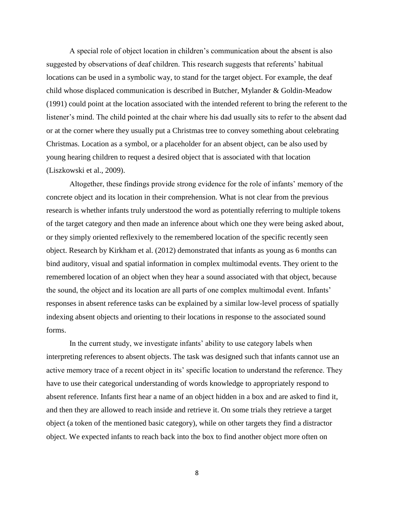A special role of object location in children's communication about the absent is also suggested by observations of deaf children. This research suggests that referents' habitual locations can be used in a symbolic way, to stand for the target object. For example, the deaf child whose displaced communication is described in Butcher, Mylander & Goldin-Meadow (1991) could point at the location associated with the intended referent to bring the referent to the listener's mind. The child pointed at the chair where his dad usually sits to refer to the absent dad or at the corner where they usually put a Christmas tree to convey something about celebrating Christmas. Location as a symbol, or a placeholder for an absent object, can be also used by young hearing children to request a desired object that is associated with that location (Liszkowski et al., 2009).

Altogether, these findings provide strong evidence for the role of infants' memory of the concrete object and its location in their comprehension. What is not clear from the previous research is whether infants truly understood the word as potentially referring to multiple tokens of the target category and then made an inference about which one they were being asked about, or they simply oriented reflexively to the remembered location of the specific recently seen object. Research by Kirkham et al. (2012) demonstrated that infants as young as 6 months can bind auditory, visual and spatial information in complex multimodal events. They orient to the remembered location of an object when they hear a sound associated with that object, because the sound, the object and its location are all parts of one complex multimodal event. Infants' responses in absent reference tasks can be explained by a similar low-level process of spatially indexing absent objects and orienting to their locations in response to the associated sound forms.

In the current study, we investigate infants' ability to use category labels when interpreting references to absent objects. The task was designed such that infants cannot use an active memory trace of a recent object in its' specific location to understand the reference. They have to use their categorical understanding of words knowledge to appropriately respond to absent reference. Infants first hear a name of an object hidden in a box and are asked to find it, and then they are allowed to reach inside and retrieve it. On some trials they retrieve a target object (a token of the mentioned basic category), while on other targets they find a distractor object. We expected infants to reach back into the box to find another object more often on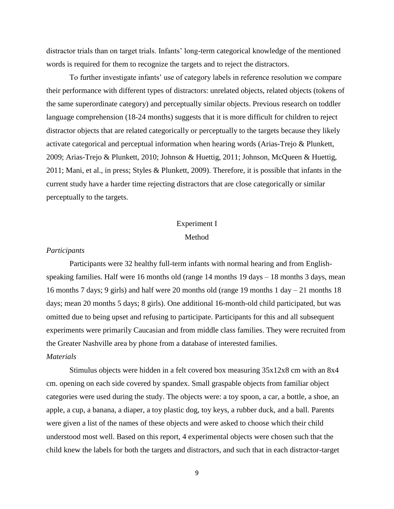distractor trials than on target trials. Infants' long-term categorical knowledge of the mentioned words is required for them to recognize the targets and to reject the distractors.

To further investigate infants' use of category labels in reference resolution we compare their performance with different types of distractors: unrelated objects, related objects (tokens of the same superordinate category) and perceptually similar objects. Previous research on toddler language comprehension (18-24 months) suggests that it is more difficult for children to reject distractor objects that are related categorically or perceptually to the targets because they likely activate categorical and perceptual information when hearing words (Arias-Trejo & Plunkett, 2009; Arias-Trejo & Plunkett, 2010; Johnson & Huettig, 2011; Johnson, McQueen & Huettig, 2011; Mani, et al., in press; Styles & Plunkett, 2009). Therefore, it is possible that infants in the current study have a harder time rejecting distractors that are close categorically or similar perceptually to the targets.

# Experiment I Method

#### *Participants*

Participants were 32 healthy full-term infants with normal hearing and from Englishspeaking families. Half were 16 months old (range 14 months 19 days – 18 months 3 days, mean 16 months 7 days; 9 girls) and half were 20 months old (range 19 months 1 day – 21 months 18 days; mean 20 months 5 days; 8 girls). One additional 16-month-old child participated, but was omitted due to being upset and refusing to participate. Participants for this and all subsequent experiments were primarily Caucasian and from middle class families. They were recruited from the Greater Nashville area by phone from a database of interested families.

# *Materials*

Stimulus objects were hidden in a felt covered box measuring 35x12x8 cm with an 8x4 cm. opening on each side covered by spandex. Small graspable objects from familiar object categories were used during the study. The objects were: a toy spoon, a car, a bottle, a shoe, an apple, a cup, a banana, a diaper, a toy plastic dog, toy keys, a rubber duck, and a ball. Parents were given a list of the names of these objects and were asked to choose which their child understood most well. Based on this report, 4 experimental objects were chosen such that the child knew the labels for both the targets and distractors, and such that in each distractor-target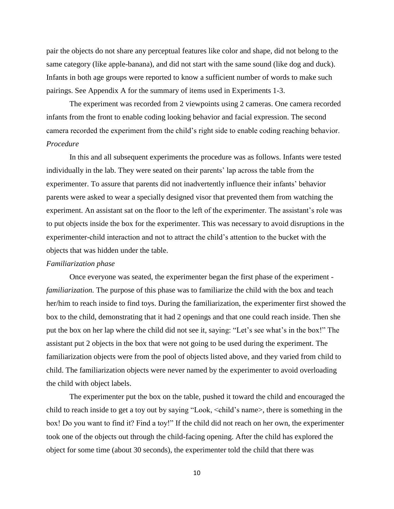pair the objects do not share any perceptual features like color and shape, did not belong to the same category (like apple-banana), and did not start with the same sound (like dog and duck). Infants in both age groups were reported to know a sufficient number of words to make such pairings. See Appendix A for the summary of items used in Experiments 1-3.

The experiment was recorded from 2 viewpoints using 2 cameras. One camera recorded infants from the front to enable coding looking behavior and facial expression. The second camera recorded the experiment from the child's right side to enable coding reaching behavior. *Procedure*

In this and all subsequent experiments the procedure was as follows. Infants were tested individually in the lab. They were seated on their parents' lap across the table from the experimenter. To assure that parents did not inadvertently influence their infants' behavior parents were asked to wear a specially designed visor that prevented them from watching the experiment. An assistant sat on the floor to the left of the experimenter. The assistant's role was to put objects inside the box for the experimenter. This was necessary to avoid disruptions in the experimenter-child interaction and not to attract the child's attention to the bucket with the objects that was hidden under the table.

#### *Familiarization phase*

Once everyone was seated, the experimenter began the first phase of the experiment *familiarization.* The purpose of this phase was to familiarize the child with the box and teach her/him to reach inside to find toys. During the familiarization, the experimenter first showed the box to the child, demonstrating that it had 2 openings and that one could reach inside. Then she put the box on her lap where the child did not see it, saying: "Let's see what's in the box!" The assistant put 2 objects in the box that were not going to be used during the experiment. The familiarization objects were from the pool of objects listed above, and they varied from child to child. The familiarization objects were never named by the experimenter to avoid overloading the child with object labels.

The experimenter put the box on the table, pushed it toward the child and encouraged the child to reach inside to get a toy out by saying "Look, <child's name>, there is something in the box! Do you want to find it? Find a toy!" If the child did not reach on her own, the experimenter took one of the objects out through the child-facing opening. After the child has explored the object for some time (about 30 seconds), the experimenter told the child that there was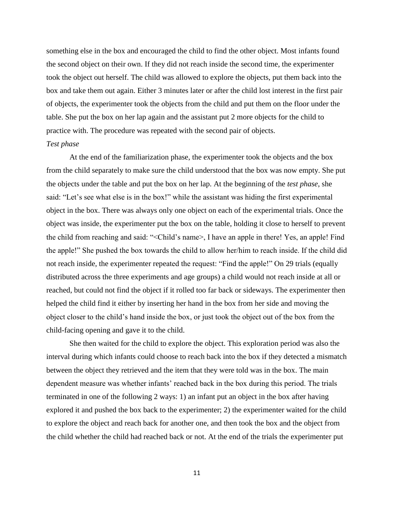something else in the box and encouraged the child to find the other object. Most infants found the second object on their own. If they did not reach inside the second time, the experimenter took the object out herself. The child was allowed to explore the objects, put them back into the box and take them out again. Either 3 minutes later or after the child lost interest in the first pair of objects, the experimenter took the objects from the child and put them on the floor under the table. She put the box on her lap again and the assistant put 2 more objects for the child to practice with. The procedure was repeated with the second pair of objects.

#### *Test phase*

At the end of the familiarization phase, the experimenter took the objects and the box from the child separately to make sure the child understood that the box was now empty. She put the objects under the table and put the box on her lap. At the beginning of the *test phase*, she said: "Let's see what else is in the box!" while the assistant was hiding the first experimental object in the box. There was always only one object on each of the experimental trials. Once the object was inside, the experimenter put the box on the table, holding it close to herself to prevent the child from reaching and said: "<Child's name>, I have an apple in there! Yes, an apple! Find the apple!" She pushed the box towards the child to allow her/him to reach inside. If the child did not reach inside, the experimenter repeated the request: "Find the apple!" On 29 trials (equally distributed across the three experiments and age groups) a child would not reach inside at all or reached, but could not find the object if it rolled too far back or sideways. The experimenter then helped the child find it either by inserting her hand in the box from her side and moving the object closer to the child's hand inside the box, or just took the object out of the box from the child-facing opening and gave it to the child.

She then waited for the child to explore the object. This exploration period was also the interval during which infants could choose to reach back into the box if they detected a mismatch between the object they retrieved and the item that they were told was in the box. The main dependent measure was whether infants' reached back in the box during this period. The trials terminated in one of the following 2 ways: 1) an infant put an object in the box after having explored it and pushed the box back to the experimenter; 2) the experimenter waited for the child to explore the object and reach back for another one, and then took the box and the object from the child whether the child had reached back or not. At the end of the trials the experimenter put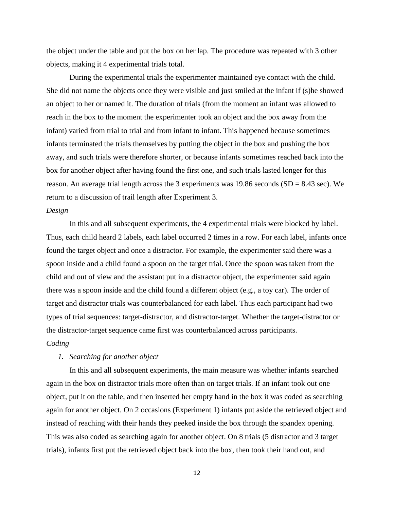the object under the table and put the box on her lap. The procedure was repeated with 3 other objects, making it 4 experimental trials total.

During the experimental trials the experimenter maintained eye contact with the child. She did not name the objects once they were visible and just smiled at the infant if (s)he showed an object to her or named it. The duration of trials (from the moment an infant was allowed to reach in the box to the moment the experimenter took an object and the box away from the infant) varied from trial to trial and from infant to infant. This happened because sometimes infants terminated the trials themselves by putting the object in the box and pushing the box away, and such trials were therefore shorter, or because infants sometimes reached back into the box for another object after having found the first one, and such trials lasted longer for this reason. An average trial length across the 3 experiments was 19.86 seconds  $(SD = 8.43 \text{ sec})$ . We return to a discussion of trail length after Experiment 3.

#### *Design*

In this and all subsequent experiments, the 4 experimental trials were blocked by label. Thus, each child heard 2 labels, each label occurred 2 times in a row. For each label, infants once found the target object and once a distractor. For example, the experimenter said there was a spoon inside and a child found a spoon on the target trial. Once the spoon was taken from the child and out of view and the assistant put in a distractor object, the experimenter said again there was a spoon inside and the child found a different object (e.g., a toy car). The order of target and distractor trials was counterbalanced for each label. Thus each participant had two types of trial sequences: target-distractor, and distractor-target. Whether the target-distractor or the distractor-target sequence came first was counterbalanced across participants.

# *Coding*

# *1. Searching for another object*

In this and all subsequent experiments, the main measure was whether infants searched again in the box on distractor trials more often than on target trials. If an infant took out one object, put it on the table, and then inserted her empty hand in the box it was coded as searching again for another object. On 2 occasions (Experiment 1) infants put aside the retrieved object and instead of reaching with their hands they peeked inside the box through the spandex opening. This was also coded as searching again for another object. On 8 trials (5 distractor and 3 target trials), infants first put the retrieved object back into the box, then took their hand out, and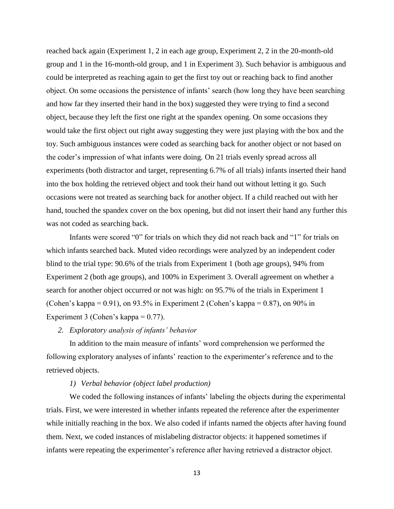reached back again (Experiment 1, 2 in each age group, Experiment 2, 2 in the 20-month-old group and 1 in the 16-month-old group, and 1 in Experiment 3). Such behavior is ambiguous and could be interpreted as reaching again to get the first toy out or reaching back to find another object. On some occasions the persistence of infants' search (how long they have been searching and how far they inserted their hand in the box) suggested they were trying to find a second object, because they left the first one right at the spandex opening. On some occasions they would take the first object out right away suggesting they were just playing with the box and the toy. Such ambiguous instances were coded as searching back for another object or not based on the coder's impression of what infants were doing. On 21 trials evenly spread across all experiments (both distractor and target, representing 6.7% of all trials) infants inserted their hand into the box holding the retrieved object and took their hand out without letting it go. Such occasions were not treated as searching back for another object. If a child reached out with her hand, touched the spandex cover on the box opening, but did not insert their hand any further this was not coded as searching back.

Infants were scored "0" for trials on which they did not reach back and "1" for trials on which infants searched back. Muted video recordings were analyzed by an independent coder blind to the trial type: 90.6% of the trials from Experiment 1 (both age groups), 94% from Experiment 2 (both age groups), and 100% in Experiment 3. Overall agreement on whether a search for another object occurred or not was high: on 95.7% of the trials in Experiment 1 (Cohen's kappa =  $0.91$ ), on 93.5% in Experiment 2 (Cohen's kappa =  $0.87$ ), on 90% in Experiment 3 (Cohen's kappa  $= 0.77$ ).

#### *2. Exploratory analysis of infants' behavior*

In addition to the main measure of infants' word comprehension we performed the following exploratory analyses of infants' reaction to the experimenter's reference and to the retrieved objects.

#### *1) Verbal behavior (object label production)*

We coded the following instances of infants' labeling the objects during the experimental trials. First, we were interested in whether infants repeated the reference after the experimenter while initially reaching in the box. We also coded if infants named the objects after having found them. Next, we coded instances of mislabeling distractor objects: it happened sometimes if infants were repeating the experimenter's reference after having retrieved a distractor object.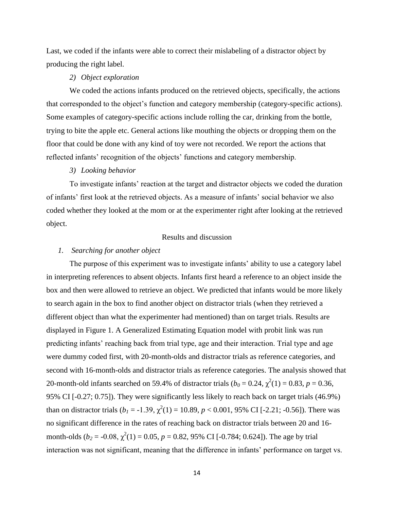Last, we coded if the infants were able to correct their mislabeling of a distractor object by producing the right label.

# *2) Object exploration*

We coded the actions infants produced on the retrieved objects, specifically, the actions that corresponded to the object's function and category membership (category-specific actions). Some examples of category-specific actions include rolling the car, drinking from the bottle, trying to bite the apple etc. General actions like mouthing the objects or dropping them on the floor that could be done with any kind of toy were not recorded. We report the actions that reflected infants' recognition of the objects' functions and category membership.

#### *3) Looking behavior*

To investigate infants' reaction at the target and distractor objects we coded the duration of infants' first look at the retrieved objects. As a measure of infants' social behavior we also coded whether they looked at the mom or at the experimenter right after looking at the retrieved object.

# Results and discussion

#### *1. Searching for another object*

The purpose of this experiment was to investigate infants' ability to use a category label in interpreting references to absent objects. Infants first heard a reference to an object inside the box and then were allowed to retrieve an object. We predicted that infants would be more likely to search again in the box to find another object on distractor trials (when they retrieved a different object than what the experimenter had mentioned) than on target trials. Results are displayed in Figure 1. A Generalized Estimating Equation model with probit link was run predicting infants' reaching back from trial type, age and their interaction. Trial type and age were dummy coded first, with 20-month-olds and distractor trials as reference categories, and second with 16-month-olds and distractor trials as reference categories. The analysis showed that 20-month-old infants searched on 59.4% of distractor trials ( $b_0 = 0.24$ ,  $\chi^2(1) = 0.83$ ,  $p = 0.36$ , 95% CI [-0.27; 0.75]). They were significantly less likely to reach back on target trials (46.9%) than on distractor trials  $(b_1 = -1.39, \chi^2(1) = 10.89, p < 0.001, 95\% \text{ CI}$  [-2.21; -0.56]). There was no significant difference in the rates of reaching back on distractor trials between 20 and 16 month-olds ( $b_2 = -0.08$ ,  $\chi^2(1) = 0.05$ ,  $p = 0.82$ , 95% CI [-0.784; 0.624]). The age by trial interaction was not significant, meaning that the difference in infants' performance on target vs.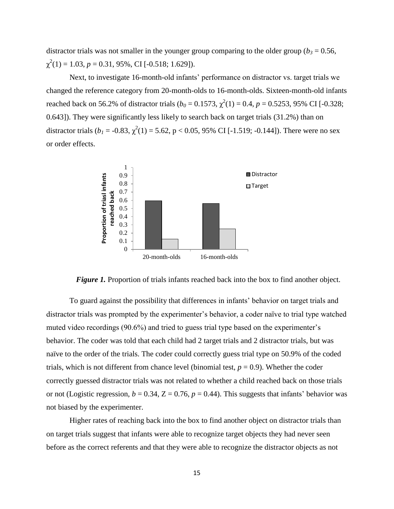distractor trials was not smaller in the younger group comparing to the older group ( $b_3$  = 0.56,  $\chi^2(1) = 1.03, p = 0.31, 95\%, \text{CI} [-0.518; 1.629]).$ 

Next, to investigate 16-month-old infants' performance on distractor vs. target trials we changed the reference category from 20-month-olds to 16-month-olds. Sixteen-month-old infants reached back on 56.2% of distractor trials ( $b_0 = 0.1573$ ,  $\chi^2(1) = 0.4$ ,  $p = 0.5253$ , 95% CI [-0.328; 0.643]). They were significantly less likely to search back on target trials (31.2%) than on distractor trials ( $b_1 = -0.83$ ,  $\chi^2(1) = 5.62$ , p < 0.05, 95% CI [-1.519; -0.144]). There were no sex or order effects.





To guard against the possibility that differences in infants' behavior on target trials and distractor trials was prompted by the experimenter's behavior, a coder naïve to trial type watched muted video recordings (90.6%) and tried to guess trial type based on the experimenter's behavior. The coder was told that each child had 2 target trials and 2 distractor trials, but was naïve to the order of the trials. The coder could correctly guess trial type on 50.9% of the coded trials, which is not different from chance level (binomial test,  $p = 0.9$ ). Whether the coder correctly guessed distractor trials was not related to whether a child reached back on those trials or not (Logistic regression,  $b = 0.34$ ,  $Z = 0.76$ ,  $p = 0.44$ ). This suggests that infants' behavior was not biased by the experimenter.

Higher rates of reaching back into the box to find another object on distractor trials than on target trials suggest that infants were able to recognize target objects they had never seen before as the correct referents and that they were able to recognize the distractor objects as not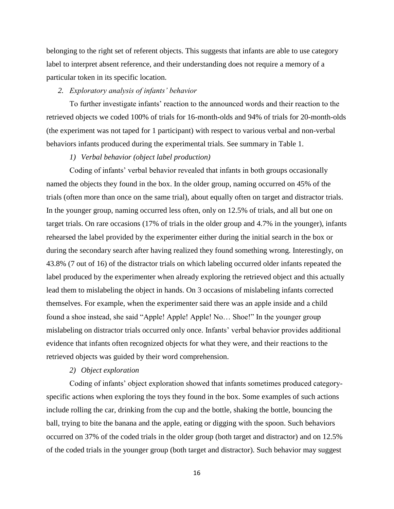belonging to the right set of referent objects. This suggests that infants are able to use category label to interpret absent reference, and their understanding does not require a memory of a particular token in its specific location.

#### *2. Exploratory analysis of infants' behavior*

To further investigate infants' reaction to the announced words and their reaction to the retrieved objects we coded 100% of trials for 16-month-olds and 94% of trials for 20-month-olds (the experiment was not taped for 1 participant) with respect to various verbal and non-verbal behaviors infants produced during the experimental trials. See summary in Table 1.

#### *1) Verbal behavior (object label production)*

Coding of infants' verbal behavior revealed that infants in both groups occasionally named the objects they found in the box. In the older group, naming occurred on 45% of the trials (often more than once on the same trial), about equally often on target and distractor trials. In the younger group, naming occurred less often, only on 12.5% of trials, and all but one on target trials. On rare occasions (17% of trials in the older group and 4.7% in the younger), infants rehearsed the label provided by the experimenter either during the initial search in the box or during the secondary search after having realized they found something wrong. Interestingly, on 43.8% (7 out of 16) of the distractor trials on which labeling occurred older infants repeated the label produced by the experimenter when already exploring the retrieved object and this actually lead them to mislabeling the object in hands. On 3 occasions of mislabeling infants corrected themselves. For example, when the experimenter said there was an apple inside and a child found a shoe instead, she said "Apple! Apple! Apple! No… Shoe!" In the younger group mislabeling on distractor trials occurred only once. Infants' verbal behavior provides additional evidence that infants often recognized objects for what they were, and their reactions to the retrieved objects was guided by their word comprehension.

#### *2) Object exploration*

Coding of infants' object exploration showed that infants sometimes produced categoryspecific actions when exploring the toys they found in the box. Some examples of such actions include rolling the car, drinking from the cup and the bottle, shaking the bottle, bouncing the ball, trying to bite the banana and the apple, eating or digging with the spoon. Such behaviors occurred on 37% of the coded trials in the older group (both target and distractor) and on 12.5% of the coded trials in the younger group (both target and distractor). Such behavior may suggest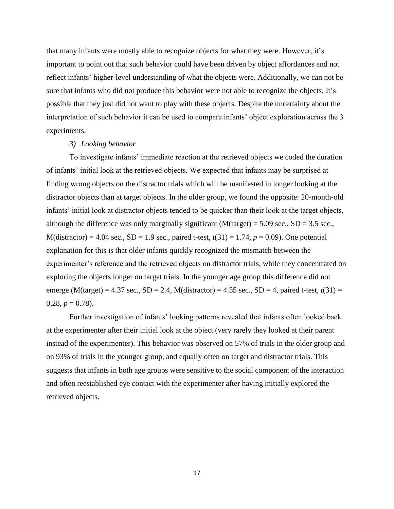that many infants were mostly able to recognize objects for what they were. However, it's important to point out that such behavior could have been driven by object affordances and not reflect infants' higher-level understanding of what the objects were. Additionally, we can not be sure that infants who did not produce this behavior were not able to recognize the objects. It's possible that they just did not want to play with these objects. Despite the uncertainty about the interpretation of such behavior it can be used to compare infants' object exploration across the 3 experiments.

#### *3) Looking behavior*

To investigate infants' immediate reaction at the retrieved objects we coded the duration of infants' initial look at the retrieved objects. We expected that infants may be surprised at finding wrong objects on the distractor trials which will be manifested in longer looking at the distractor objects than at target objects. In the older group, we found the opposite: 20-month-old infants' initial look at distractor objects tended to be quicker than their look at the target objects, although the difference was only marginally significant ( $M(target) = 5.09$  sec.,  $SD = 3.5$  sec.,  $M(distractor) = 4.04$  sec.,  $SD = 1.9$  sec., paired t-test,  $t(31) = 1.74$ ,  $p = 0.09$ ). One potential explanation for this is that older infants quickly recognized the mismatch between the experimenter's reference and the retrieved objects on distractor trials, while they concentrated on exploring the objects longer on target trials. In the younger age group this difference did not emerge (M(target) = 4.37 sec.,  $SD = 2.4$ , M(distractor) = 4.55 sec.,  $SD = 4$ , paired t-test,  $t(31) =$  $0.28, p = 0.78$ .

Further investigation of infants' looking patterns revealed that infants often looked back at the experimenter after their initial look at the object (very rarely they looked at their parent instead of the experimenter). This behavior was observed on 57% of trials in the older group and on 93% of trials in the younger group, and equally often on target and distractor trials. This suggests that infants in both age groups were sensitive to the social component of the interaction and often reestablished eye contact with the experimenter after having initially explored the retrieved objects.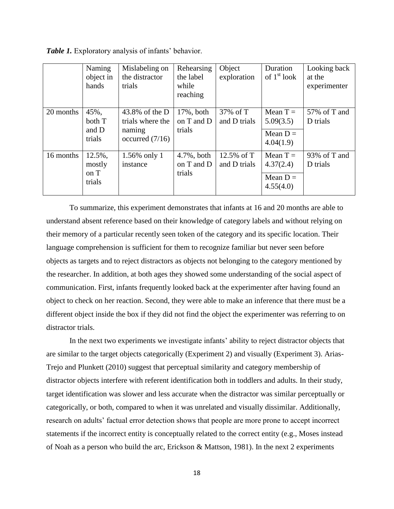|           | Naming<br>object in<br>hands       | Mislabeling on<br>the distractor<br>trials                          | Rehearsing<br>the label<br>while<br>reaching | Object<br>exploration        | Duration<br>of $1st$ look                          | Looking back<br>at the<br>experimenter |
|-----------|------------------------------------|---------------------------------------------------------------------|----------------------------------------------|------------------------------|----------------------------------------------------|----------------------------------------|
| 20 months | 45%,<br>both T<br>and D<br>trials  | 43.8% of the $D$<br>trials where the<br>naming<br>occurred $(7/16)$ | 17%, both<br>on T and D<br>trials            | 37% of T<br>and D trials     | Mean $T =$<br>5.09(3.5)<br>Mean $D =$<br>4.04(1.9) | 57% of T and<br>D trials               |
| 16 months | 12.5%,<br>mostly<br>on T<br>trials | 1.56% only 1<br>instance                                            | $4.7\%$ , both<br>on T and D<br>trials       | 12.5% of $T$<br>and D trials | Mean $T =$<br>4.37(2.4)<br>Mean $D =$<br>4.55(4.0) | 93% of T and<br>D trials               |

*Table 1.* Exploratory analysis of infants' behavior.

To summarize, this experiment demonstrates that infants at 16 and 20 months are able to understand absent reference based on their knowledge of category labels and without relying on their memory of a particular recently seen token of the category and its specific location. Their language comprehension is sufficient for them to recognize familiar but never seen before objects as targets and to reject distractors as objects not belonging to the category mentioned by the researcher. In addition, at both ages they showed some understanding of the social aspect of communication. First, infants frequently looked back at the experimenter after having found an object to check on her reaction. Second, they were able to make an inference that there must be a different object inside the box if they did not find the object the experimenter was referring to on distractor trials.

In the next two experiments we investigate infants' ability to reject distractor objects that are similar to the target objects categorically (Experiment 2) and visually (Experiment 3). Arias-Trejo and Plunkett (2010) suggest that perceptual similarity and category membership of distractor objects interfere with referent identification both in toddlers and adults. In their study, target identification was slower and less accurate when the distractor was similar perceptually or categorically, or both, compared to when it was unrelated and visually dissimilar. Additionally, research on adults' factual error detection shows that people are more prone to accept incorrect statements if the incorrect entity is conceptually related to the correct entity (e.g., Moses instead of Noah as a person who build the arc, Erickson & Mattson, 1981). In the next 2 experiments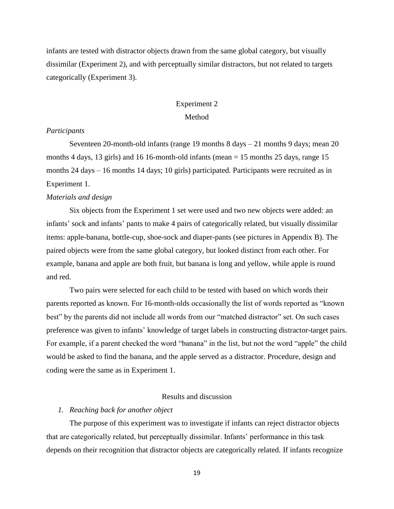infants are tested with distractor objects drawn from the same global category, but visually dissimilar (Experiment 2), and with perceptually similar distractors, but not related to targets categorically (Experiment 3).

# Experiment 2

# Method

## *Participants*

Seventeen 20-month-old infants (range 19 months 8 days – 21 months 9 days; mean 20 months 4 days, 13 girls) and 16 16-month-old infants (mean = 15 months 25 days, range 15 months 24 days – 16 months 14 days; 10 girls) participated. Participants were recruited as in Experiment 1.

#### *Materials and design*

Six objects from the Experiment 1 set were used and two new objects were added: an infants' sock and infants' pants to make 4 pairs of categorically related, but visually dissimilar items: apple-banana, bottle-cup, shoe-sock and diaper-pants (see pictures in Appendix B). The paired objects were from the same global category, but looked distinct from each other. For example, banana and apple are both fruit, but banana is long and yellow, while apple is round and red.

Two pairs were selected for each child to be tested with based on which words their parents reported as known. For 16-month-olds occasionally the list of words reported as "known best" by the parents did not include all words from our "matched distractor" set. On such cases preference was given to infants' knowledge of target labels in constructing distractor-target pairs. For example, if a parent checked the word "banana" in the list, but not the word "apple" the child would be asked to find the banana, and the apple served as a distractor. Procedure, design and coding were the same as in Experiment 1.

# Results and discussion

#### *1. Reaching back for another object*

The purpose of this experiment was to investigate if infants can reject distractor objects that are categorically related, but perceptually dissimilar. Infants' performance in this task depends on their recognition that distractor objects are categorically related. If infants recognize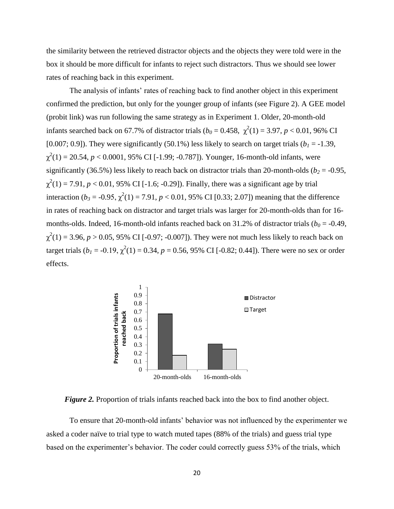the similarity between the retrieved distractor objects and the objects they were told were in the box it should be more difficult for infants to reject such distractors. Thus we should see lower rates of reaching back in this experiment.

The analysis of infants' rates of reaching back to find another object in this experiment confirmed the prediction, but only for the younger group of infants (see Figure 2). A GEE model (probit link) was run following the same strategy as in Experiment 1. Older, 20-month-old infants searched back on 67.7% of distractor trials  $(b_0 = 0.458, \chi^2(1) = 3.97, p < 0.01, 96\% \text{ CI}$ [0.007; 0.9]). They were significantly (50.1%) less likely to search on target trials ( $b<sub>1</sub> = -1.39$ ,  $\chi^2(1) = 20.54$ ,  $p < 0.0001$ , 95% CI [-1.99; -0.787]). Younger, 16-month-old infants, were significantly (36.5%) less likely to reach back on distractor trials than 20-month-olds ( $b_2$  = -0.95,  $\chi^2(1) = 7.91, p < 0.01, 95\% \text{ CI}$  [-1.6; -0.29]). Finally, there was a significant age by trial interaction ( $b_3 = -0.95$ ,  $\chi^2(1) = 7.91$ ,  $p < 0.01$ , 95% CI [0.33; 2.07]) meaning that the difference in rates of reaching back on distractor and target trials was larger for 20-month-olds than for 16 months-olds. Indeed, 16-month-old infants reached back on 31.2% of distractor trials ( $b_0$  = -0.49,  $\chi^2(1) = 3.96, p > 0.05, 95\% \text{ CI}$  [-0.97; -0.007]). They were not much less likely to reach back on target trials ( $b_1 = -0.19$ ,  $\chi^2(1) = 0.34$ ,  $p = 0.56$ , 95% CI [-0.82; 0.44]). There were no sex or order effects.



*Figure 2.* Proportion of trials infants reached back into the box to find another object.

To ensure that 20-month-old infants' behavior was not influenced by the experimenter we asked a coder naïve to trial type to watch muted tapes (88% of the trials) and guess trial type based on the experimenter's behavior. The coder could correctly guess 53% of the trials, which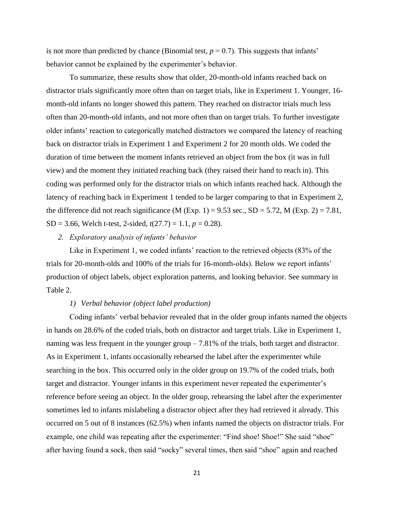is not more than predicted by chance (Binomial test,  $p = 0.7$ ). This suggests that infants' behavior cannot be explained by the experimenter's behavior.

To summarize, these results show that older, 20-month-old infants reached back on distractor trials significantly more often than on target trials, like in Experiment 1. Younger, 16 month-old infants no longer showed this pattern. They reached on distractor trials much less often than 20-month-old infants, and not more often than on target trials. To further investigate older infants' reaction to categorically matched distractors we compared the latency of reaching back on distractor trials in Experiment 1 and Experiment 2 for 20 month olds. We coded the duration of time between the moment infants retrieved an object from the box (it was in full view) and the moment they initiated reaching back (they raised their hand to reach in). This coding was performed only for the distractor trials on which infants reached back. Although the latency of reaching back in Experiment 1 tended to be larger comparing to that in Experiment 2, the difference did not reach significance (M (Exp. 1) = 9.53 sec.,  $SD = 5.72$ , M (Exp. 2) = 7.81, SD = 3.66, Welch t-test, 2-sided,  $t(27.7) = 1.1$ ,  $p = 0.28$ ).

#### *2. Exploratory analysis of infants' behavior*

Like in Experiment 1, we coded infants' reaction to the retrieved objects (83% of the trials for 20-month-olds and 100% of the trials for 16-month-olds). Below we report infants' production of object labels, object exploration patterns, and looking behavior. See summary in Table 2.

### *1) Verbal behavior (object label production)*

Coding infants' verbal behavior revealed that in the older group infants named the objects in hands on 28.6% of the coded trials, both on distractor and target trials. Like in Experiment 1, naming was less frequent in the younger group – 7.81% of the trials, both target and distractor. As in Experiment 1, infants occasionally rehearsed the label after the experimenter while searching in the box. This occurred only in the older group on 19.7% of the coded trials, both target and distractor. Younger infants in this experiment never repeated the experimenter's reference before seeing an object. In the older group, rehearsing the label after the experimenter sometimes led to infants mislabeling a distractor object after they had retrieved it already. This occurred on 5 out of 8 instances (62.5%) when infants named the objects on distractor trials. For example, one child was repeating after the experimenter: "Find shoe! Shoe!" She said "shoe" after having found a sock, then said "socky" several times, then said "shoe" again and reached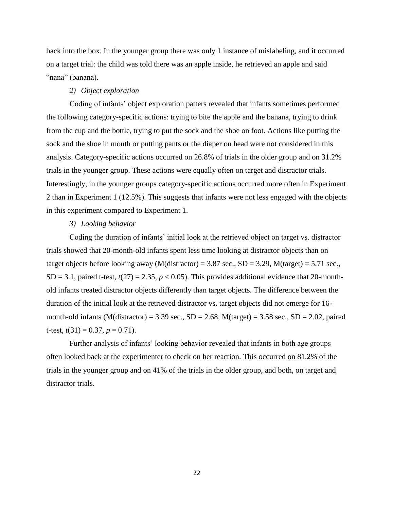back into the box. In the younger group there was only 1 instance of mislabeling, and it occurred on a target trial: the child was told there was an apple inside, he retrieved an apple and said "nana" (banana).

#### *2) Object exploration*

Coding of infants' object exploration patters revealed that infants sometimes performed the following category-specific actions: trying to bite the apple and the banana, trying to drink from the cup and the bottle, trying to put the sock and the shoe on foot. Actions like putting the sock and the shoe in mouth or putting pants or the diaper on head were not considered in this analysis. Category-specific actions occurred on 26.8% of trials in the older group and on 31.2% trials in the younger group. These actions were equally often on target and distractor trials. Interestingly, in the younger groups category-specific actions occurred more often in Experiment 2 than in Experiment 1 (12.5%). This suggests that infants were not less engaged with the objects in this experiment compared to Experiment 1.

#### *3) Looking behavior*

Coding the duration of infants' initial look at the retrieved object on target vs. distractor trials showed that 20-month-old infants spent less time looking at distractor objects than on target objects before looking away (M(distractor) = 3.87 sec.,  $SD = 3.29$ , M(target) = 5.71 sec., SD = 3.1, paired t-test,  $t(27) = 2.35$ ,  $p < 0.05$ ). This provides additional evidence that 20-monthold infants treated distractor objects differently than target objects. The difference between the duration of the initial look at the retrieved distractor vs. target objects did not emerge for 16 month-old infants (M(distractor) = 3.39 sec.,  $SD = 2.68$ , M(target) = 3.58 sec.,  $SD = 2.02$ , paired t-test,  $t(31) = 0.37$ ,  $p = 0.71$ ).

Further analysis of infants' looking behavior revealed that infants in both age groups often looked back at the experimenter to check on her reaction. This occurred on 81.2% of the trials in the younger group and on 41% of the trials in the older group, and both, on target and distractor trials.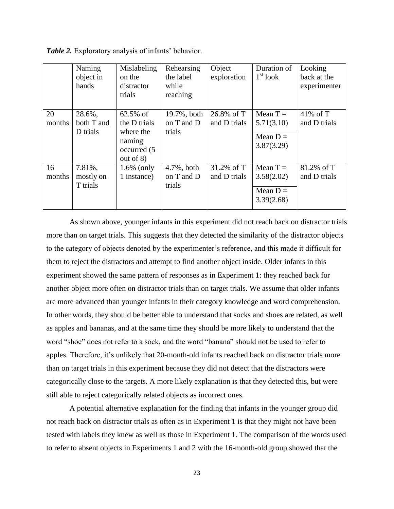|              | Naming<br>object in<br>hands     | Mislabeling<br>on the<br>distractor<br>trials                                               | Rehearsing<br>the label<br>while<br>reaching | Object<br>exploration      | Duration of<br>$1st$ look                            | Looking<br>back at the<br>experimenter |
|--------------|----------------------------------|---------------------------------------------------------------------------------------------|----------------------------------------------|----------------------------|------------------------------------------------------|----------------------------------------|
| 20<br>months | 28.6%,<br>both T and<br>D trials | $62.5\% \text{ of }$<br>the D trials<br>where the<br>naming<br>occurred (5)<br>out of $8$ ) | 19.7%, both<br>on T and D<br>trials          | 26.8% of T<br>and D trials | Mean $T =$<br>5.71(3.10)<br>Mean $D =$<br>3.87(3.29) | 41% of $T$<br>and D trials             |
| 16<br>months | 7.81%,<br>mostly on<br>T trials  | $1.6\%$ (only<br>1 instance)                                                                | $4.7\%$ , both<br>on T and D<br>trials       | 31.2% of T<br>and D trials | Mean $T =$<br>3.58(2.02)<br>Mean $D =$<br>3.39(2.68) | 81.2% of T<br>and D trials             |

*Table 2.* Exploratory analysis of infants' behavior.

As shown above, younger infants in this experiment did not reach back on distractor trials more than on target trials. This suggests that they detected the similarity of the distractor objects to the category of objects denoted by the experimenter's reference, and this made it difficult for them to reject the distractors and attempt to find another object inside. Older infants in this experiment showed the same pattern of responses as in Experiment 1: they reached back for another object more often on distractor trials than on target trials. We assume that older infants are more advanced than younger infants in their category knowledge and word comprehension. In other words, they should be better able to understand that socks and shoes are related, as well as apples and bananas, and at the same time they should be more likely to understand that the word "shoe" does not refer to a sock, and the word "banana" should not be used to refer to apples. Therefore, it's unlikely that 20-month-old infants reached back on distractor trials more than on target trials in this experiment because they did not detect that the distractors were categorically close to the targets. A more likely explanation is that they detected this, but were still able to reject categorically related objects as incorrect ones.

A potential alternative explanation for the finding that infants in the younger group did not reach back on distractor trials as often as in Experiment 1 is that they might not have been tested with labels they knew as well as those in Experiment 1. The comparison of the words used to refer to absent objects in Experiments 1 and 2 with the 16-month-old group showed that the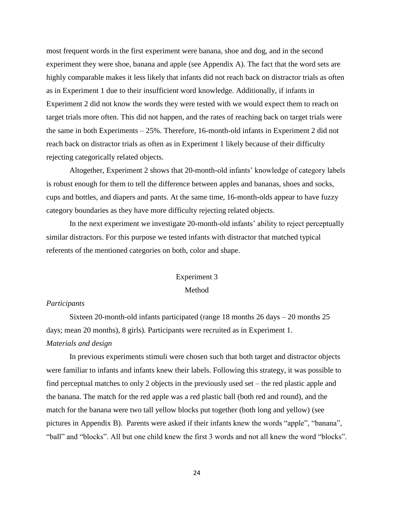most frequent words in the first experiment were banana, shoe and dog, and in the second experiment they were shoe, banana and apple (see Appendix A). The fact that the word sets are highly comparable makes it less likely that infants did not reach back on distractor trials as often as in Experiment 1 due to their insufficient word knowledge. Additionally, if infants in Experiment 2 did not know the words they were tested with we would expect them to reach on target trials more often. This did not happen, and the rates of reaching back on target trials were the same in both Experiments – 25%. Therefore, 16-month-old infants in Experiment 2 did not reach back on distractor trials as often as in Experiment 1 likely because of their difficulty rejecting categorically related objects.

Altogether, Experiment 2 shows that 20-month-old infants' knowledge of category labels is robust enough for them to tell the difference between apples and bananas, shoes and socks, cups and bottles, and diapers and pants. At the same time, 16-month-olds appear to have fuzzy category boundaries as they have more difficulty rejecting related objects.

In the next experiment we investigate 20-month-old infants' ability to reject perceptually similar distractors. For this purpose we tested infants with distractor that matched typical referents of the mentioned categories on both, color and shape.

# Experiment 3

#### Method

#### *Participants*

Sixteen 20-month-old infants participated (range 18 months 26 days – 20 months 25 days; mean 20 months), 8 girls)*.* Participants were recruited as in Experiment 1. *Materials and design*

In previous experiments stimuli were chosen such that both target and distractor objects were familiar to infants and infants knew their labels. Following this strategy, it was possible to find perceptual matches to only 2 objects in the previously used set – the red plastic apple and the banana. The match for the red apple was a red plastic ball (both red and round), and the match for the banana were two tall yellow blocks put together (both long and yellow) (see pictures in Appendix B). Parents were asked if their infants knew the words "apple", "banana", "ball" and "blocks". All but one child knew the first 3 words and not all knew the word "blocks".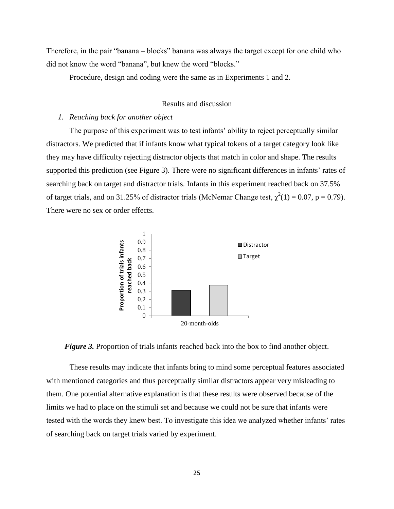Therefore, in the pair "banana – blocks" banana was always the target except for one child who did not know the word "banana", but knew the word "blocks."

Procedure, design and coding were the same as in Experiments 1 and 2.

# Results and discussion

#### *1. Reaching back for another object*

The purpose of this experiment was to test infants' ability to reject perceptually similar distractors. We predicted that if infants know what typical tokens of a target category look like they may have difficulty rejecting distractor objects that match in color and shape. The results supported this prediction (see Figure 3). There were no significant differences in infants' rates of searching back on target and distractor trials. Infants in this experiment reached back on 37.5% of target trials, and on 31.25% of distractor trials (McNemar Change test,  $\chi^2(1) = 0.07$ , p = 0.79). There were no sex or order effects.



*Figure 3.* Proportion of trials infants reached back into the box to find another object.

These results may indicate that infants bring to mind some perceptual features associated with mentioned categories and thus perceptually similar distractors appear very misleading to them. One potential alternative explanation is that these results were observed because of the limits we had to place on the stimuli set and because we could not be sure that infants were tested with the words they knew best. To investigate this idea we analyzed whether infants' rates of searching back on target trials varied by experiment.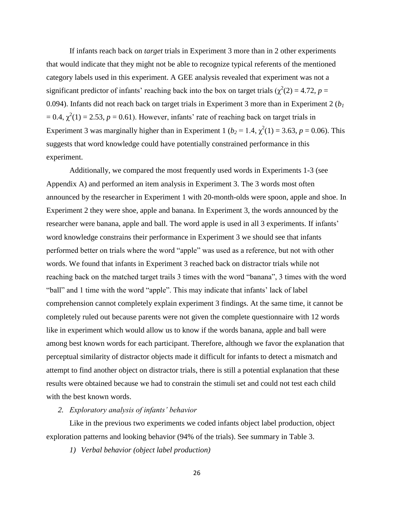If infants reach back on *target* trials in Experiment 3 more than in 2 other experiments that would indicate that they might not be able to recognize typical referents of the mentioned category labels used in this experiment. A GEE analysis revealed that experiment was not a significant predictor of infants' reaching back into the box on target trials ( $\chi^2(2) = 4.72$ ,  $p =$ 0.094). Infants did not reach back on target trials in Experiment 3 more than in Experiment 2 (*b<sup>1</sup>*  $= 0.4$ ,  $\chi^2(1) = 2.53$ ,  $p = 0.61$ ). However, infants' rate of reaching back on target trials in Experiment 3 was marginally higher than in Experiment 1 ( $b_2 = 1.4$ ,  $\chi^2(1) = 3.63$ ,  $p = 0.06$ ). This suggests that word knowledge could have potentially constrained performance in this experiment.

Additionally, we compared the most frequently used words in Experiments 1-3 (see Appendix A) and performed an item analysis in Experiment 3. The 3 words most often announced by the researcher in Experiment 1 with 20-month-olds were spoon, apple and shoe. In Experiment 2 they were shoe, apple and banana. In Experiment 3, the words announced by the researcher were banana, apple and ball. The word apple is used in all 3 experiments. If infants' word knowledge constrains their performance in Experiment 3 we should see that infants performed better on trials where the word "apple" was used as a reference, but not with other words. We found that infants in Experiment 3 reached back on distractor trials while not reaching back on the matched target trails 3 times with the word "banana", 3 times with the word "ball" and 1 time with the word "apple". This may indicate that infants' lack of label comprehension cannot completely explain experiment 3 findings. At the same time, it cannot be completely ruled out because parents were not given the complete questionnaire with 12 words like in experiment which would allow us to know if the words banana, apple and ball were among best known words for each participant. Therefore, although we favor the explanation that perceptual similarity of distractor objects made it difficult for infants to detect a mismatch and attempt to find another object on distractor trials, there is still a potential explanation that these results were obtained because we had to constrain the stimuli set and could not test each child with the best known words.

*2. Exploratory analysis of infants' behavior*

Like in the previous two experiments we coded infants object label production, object exploration patterns and looking behavior (94% of the trials). See summary in Table 3.

*1) Verbal behavior (object label production)*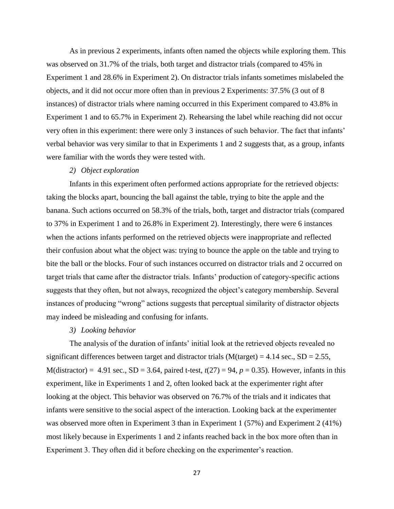As in previous 2 experiments, infants often named the objects while exploring them. This was observed on 31.7% of the trials, both target and distractor trials (compared to 45% in Experiment 1 and 28.6% in Experiment 2). On distractor trials infants sometimes mislabeled the objects, and it did not occur more often than in previous 2 Experiments: 37.5% (3 out of 8 instances) of distractor trials where naming occurred in this Experiment compared to 43.8% in Experiment 1 and to 65.7% in Experiment 2). Rehearsing the label while reaching did not occur very often in this experiment: there were only 3 instances of such behavior. The fact that infants' verbal behavior was very similar to that in Experiments 1 and 2 suggests that, as a group, infants were familiar with the words they were tested with.

#### *2) Object exploration*

Infants in this experiment often performed actions appropriate for the retrieved objects: taking the blocks apart, bouncing the ball against the table, trying to bite the apple and the banana. Such actions occurred on 58.3% of the trials, both, target and distractor trials (compared to 37% in Experiment 1 and to 26.8% in Experiment 2). Interestingly, there were 6 instances when the actions infants performed on the retrieved objects were inappropriate and reflected their confusion about what the object was: trying to bounce the apple on the table and trying to bite the ball or the blocks. Four of such instances occurred on distractor trials and 2 occurred on target trials that came after the distractor trials. Infants' production of category-specific actions suggests that they often, but not always, recognized the object's category membership. Several instances of producing "wrong" actions suggests that perceptual similarity of distractor objects may indeed be misleading and confusing for infants.

#### *3) Looking behavior*

The analysis of the duration of infants' initial look at the retrieved objects revealed no significant differences between target and distractor trials  $(M(target) = 4.14 \text{ sec.}, SD = 2.55,$ M(distractor) = 4.91 sec.,  $SD = 3.64$ , paired t-test,  $t(27) = 94$ ,  $p = 0.35$ ). However, infants in this experiment, like in Experiments 1 and 2, often looked back at the experimenter right after looking at the object. This behavior was observed on 76.7% of the trials and it indicates that infants were sensitive to the social aspect of the interaction. Looking back at the experimenter was observed more often in Experiment 3 than in Experiment 1 (57%) and Experiment 2 (41%) most likely because in Experiments 1 and 2 infants reached back in the box more often than in Experiment 3. They often did it before checking on the experimenter's reaction.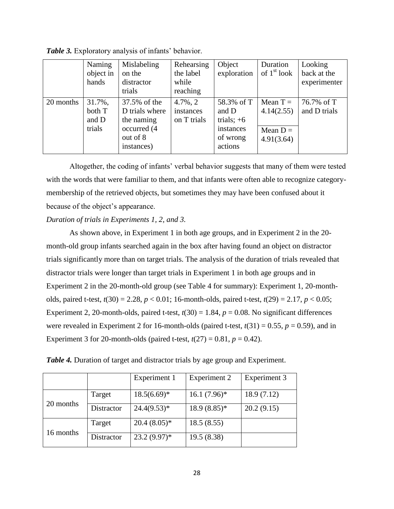|           | Naming<br>object in<br>hands        | Mislabeling<br>on the<br>distractor<br>trials                                         | Rehearsing<br>the label<br>while<br>reaching | Object<br>exploration                                                   | Duration<br>of $1st$ look                            | Looking<br>back at the<br>experimenter |
|-----------|-------------------------------------|---------------------------------------------------------------------------------------|----------------------------------------------|-------------------------------------------------------------------------|------------------------------------------------------|----------------------------------------|
| 20 months | 31.7%,<br>both T<br>and D<br>trials | 37.5% of the<br>D trials where<br>the naming<br>occurred (4<br>out of 8<br>instances) | $4.7\%$ , 2<br>instances<br>on T trials      | 58.3% of T<br>and D<br>trials; $+6$<br>instances<br>of wrong<br>actions | Mean $T =$<br>4.14(2.55)<br>Mean $D =$<br>4.91(3.64) | 76.7% of T<br>and D trials             |

*Table 3.* Exploratory analysis of infants' behavior.

Altogether, the coding of infants' verbal behavior suggests that many of them were tested with the words that were familiar to them, and that infants were often able to recognize categorymembership of the retrieved objects, but sometimes they may have been confused about it because of the object's appearance.

# *Duration of trials in Experiments 1, 2, and 3.*

As shown above, in Experiment 1 in both age groups, and in Experiment 2 in the 20 month-old group infants searched again in the box after having found an object on distractor trials significantly more than on target trials. The analysis of the duration of trials revealed that distractor trials were longer than target trials in Experiment 1 in both age groups and in Experiment 2 in the 20-month-old group (see Table 4 for summary): Experiment 1, 20-montholds, paired t-test, *t*(30) = 2.28, *p* < 0.01; 16-month-olds, paired t-test, *t*(29) = 2.17, *p* < 0.05; Experiment 2, 20-month-olds, paired t-test,  $t(30) = 1.84$ ,  $p = 0.08$ . No significant differences were revealed in Experiment 2 for 16-month-olds (paired t-test,  $t(31) = 0.55$ ,  $p = 0.59$ ), and in Experiment 3 for 20-month-olds (paired t-test,  $t(27) = 0.81$ ,  $p = 0.42$ ).

| Table 4. Duration of target and distractor trials by age group and Experiment |  |  |  |
|-------------------------------------------------------------------------------|--|--|--|
|-------------------------------------------------------------------------------|--|--|--|

|           |            | Experiment 1   | Experiment 2   | Experiment 3 |
|-----------|------------|----------------|----------------|--------------|
|           | Target     | $18.5(6.69)^*$ | $16.1(7.96)^*$ | 18.9(7.12)   |
| 20 months | Distractor | $24.4(9.53)*$  | $18.9(8.85)*$  | 20.2(9.15)   |
|           | Target     | $20.4(8.05)*$  | 18.5(8.55)     |              |
| 16 months | Distractor | $23.2(9.97)^*$ | 19.5(8.38)     |              |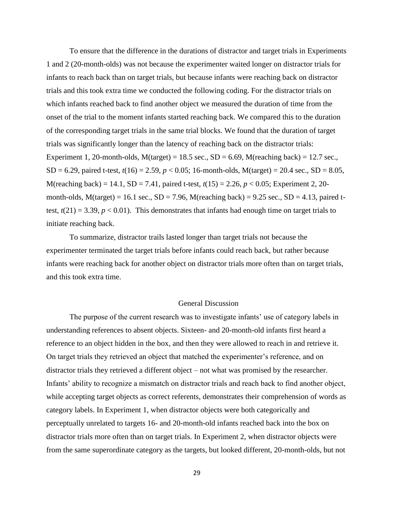To ensure that the difference in the durations of distractor and target trials in Experiments 1 and 2 (20-month-olds) was not because the experimenter waited longer on distractor trials for infants to reach back than on target trials, but because infants were reaching back on distractor trials and this took extra time we conducted the following coding. For the distractor trials on which infants reached back to find another object we measured the duration of time from the onset of the trial to the moment infants started reaching back. We compared this to the duration of the corresponding target trials in the same trial blocks. We found that the duration of target trials was significantly longer than the latency of reaching back on the distractor trials: Experiment 1, 20-month-olds,  $M(target) = 18.5$  sec.,  $SD = 6.69$ ,  $M(reaching back) = 12.7$  sec., SD = 6.29, paired t-test,  $t(16) = 2.59$ ,  $p < 0.05$ ; 16-month-olds, M(target) = 20.4 sec., SD = 8.05, M(reaching back) = 14.1, SD = 7.41, paired t-test, *t*(15) = 2.26, *p* < 0.05; Experiment 2, 20 month-olds,  $M(target) = 16.1$  sec.,  $SD = 7.96$ ,  $M(reaching back) = 9.25$  sec.,  $SD = 4.13$ , paired ttest,  $t(21) = 3.39$ ,  $p < 0.01$ ). This demonstrates that infants had enough time on target trials to initiate reaching back.

To summarize, distractor trails lasted longer than target trials not because the experimenter terminated the target trials before infants could reach back, but rather because infants were reaching back for another object on distractor trials more often than on target trials, and this took extra time.

#### General Discussion

The purpose of the current research was to investigate infants' use of category labels in understanding references to absent objects. Sixteen- and 20-month-old infants first heard a reference to an object hidden in the box, and then they were allowed to reach in and retrieve it. On target trials they retrieved an object that matched the experimenter's reference, and on distractor trials they retrieved a different object – not what was promised by the researcher. Infants' ability to recognize a mismatch on distractor trials and reach back to find another object, while accepting target objects as correct referents, demonstrates their comprehension of words as category labels. In Experiment 1, when distractor objects were both categorically and perceptually unrelated to targets 16- and 20-month-old infants reached back into the box on distractor trials more often than on target trials. In Experiment 2, when distractor objects were from the same superordinate category as the targets, but looked different, 20-month-olds, but not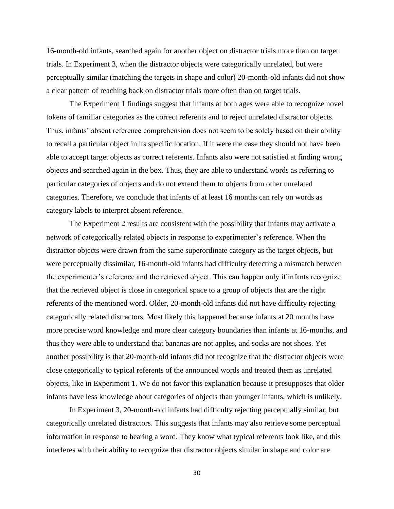16-month-old infants, searched again for another object on distractor trials more than on target trials. In Experiment 3, when the distractor objects were categorically unrelated, but were perceptually similar (matching the targets in shape and color) 20-month-old infants did not show a clear pattern of reaching back on distractor trials more often than on target trials.

The Experiment 1 findings suggest that infants at both ages were able to recognize novel tokens of familiar categories as the correct referents and to reject unrelated distractor objects. Thus, infants' absent reference comprehension does not seem to be solely based on their ability to recall a particular object in its specific location. If it were the case they should not have been able to accept target objects as correct referents. Infants also were not satisfied at finding wrong objects and searched again in the box. Thus, they are able to understand words as referring to particular categories of objects and do not extend them to objects from other unrelated categories. Therefore, we conclude that infants of at least 16 months can rely on words as category labels to interpret absent reference.

The Experiment 2 results are consistent with the possibility that infants may activate a network of categorically related objects in response to experimenter's reference. When the distractor objects were drawn from the same superordinate category as the target objects, but were perceptually dissimilar, 16-month-old infants had difficulty detecting a mismatch between the experimenter's reference and the retrieved object. This can happen only if infants recognize that the retrieved object is close in categorical space to a group of objects that are the right referents of the mentioned word. Older, 20-month-old infants did not have difficulty rejecting categorically related distractors. Most likely this happened because infants at 20 months have more precise word knowledge and more clear category boundaries than infants at 16-months, and thus they were able to understand that bananas are not apples, and socks are not shoes. Yet another possibility is that 20-month-old infants did not recognize that the distractor objects were close categorically to typical referents of the announced words and treated them as unrelated objects, like in Experiment 1. We do not favor this explanation because it presupposes that older infants have less knowledge about categories of objects than younger infants, which is unlikely.

In Experiment 3, 20-month-old infants had difficulty rejecting perceptually similar, but categorically unrelated distractors. This suggests that infants may also retrieve some perceptual information in response to hearing a word. They know what typical referents look like, and this interferes with their ability to recognize that distractor objects similar in shape and color are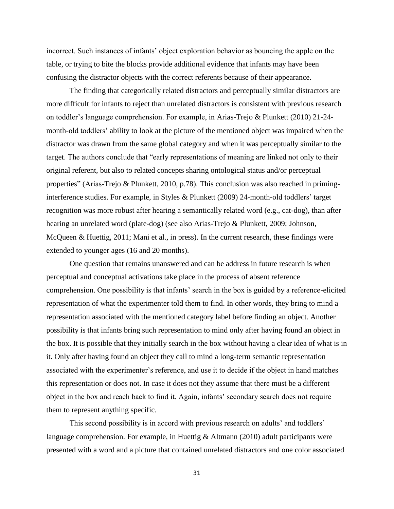incorrect. Such instances of infants' object exploration behavior as bouncing the apple on the table, or trying to bite the blocks provide additional evidence that infants may have been confusing the distractor objects with the correct referents because of their appearance.

The finding that categorically related distractors and perceptually similar distractors are more difficult for infants to reject than unrelated distractors is consistent with previous research on toddler's language comprehension. For example, in Arias-Trejo & Plunkett (2010) 21-24 month-old toddlers' ability to look at the picture of the mentioned object was impaired when the distractor was drawn from the same global category and when it was perceptually similar to the target. The authors conclude that "early representations of meaning are linked not only to their original referent, but also to related concepts sharing ontological status and/or perceptual properties" (Arias-Trejo & Plunkett, 2010, p.78). This conclusion was also reached in priminginterference studies. For example, in Styles & Plunkett (2009) 24-month-old toddlers' target recognition was more robust after hearing a semantically related word (e.g., cat-dog), than after hearing an unrelated word (plate-dog) (see also Arias-Trejo & Plunkett, 2009; Johnson, McQueen & Huettig, 2011; Mani et al., in press). In the current research, these findings were extended to younger ages (16 and 20 months).

One question that remains unanswered and can be address in future research is when perceptual and conceptual activations take place in the process of absent reference comprehension. One possibility is that infants' search in the box is guided by a reference-elicited representation of what the experimenter told them to find. In other words, they bring to mind a representation associated with the mentioned category label before finding an object. Another possibility is that infants bring such representation to mind only after having found an object in the box. It is possible that they initially search in the box without having a clear idea of what is in it. Only after having found an object they call to mind a long-term semantic representation associated with the experimenter's reference, and use it to decide if the object in hand matches this representation or does not. In case it does not they assume that there must be a different object in the box and reach back to find it. Again, infants' secondary search does not require them to represent anything specific.

This second possibility is in accord with previous research on adults' and toddlers' language comprehension. For example, in Huettig & Altmann (2010) adult participants were presented with a word and a picture that contained unrelated distractors and one color associated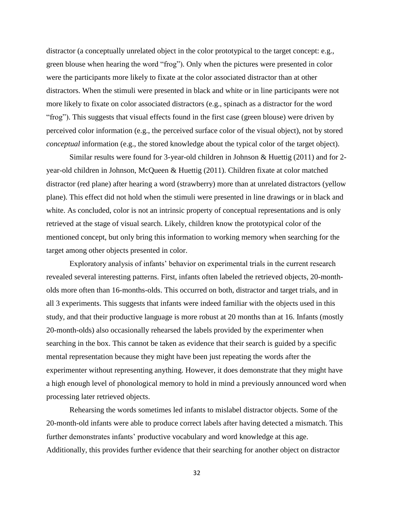distractor (a conceptually unrelated object in the color prototypical to the target concept: e.g., green blouse when hearing the word "frog"). Only when the pictures were presented in color were the participants more likely to fixate at the color associated distractor than at other distractors. When the stimuli were presented in black and white or in line participants were not more likely to fixate on color associated distractors (e.g., spinach as a distractor for the word "frog"). This suggests that visual effects found in the first case (green blouse) were driven by perceived color information (e.g., the perceived surface color of the visual object), not by stored *conceptual* information (e.g., the stored knowledge about the typical color of the target object).

Similar results were found for 3-year-old children in Johnson & Huettig (2011) and for 2 year-old children in Johnson, McQueen & Huettig (2011). Children fixate at color matched distractor (red plane) after hearing a word (strawberry) more than at unrelated distractors (yellow plane). This effect did not hold when the stimuli were presented in line drawings or in black and white. As concluded, color is not an intrinsic property of conceptual representations and is only retrieved at the stage of visual search. Likely, children know the prototypical color of the mentioned concept, but only bring this information to working memory when searching for the target among other objects presented in color.

Exploratory analysis of infants' behavior on experimental trials in the current research revealed several interesting patterns. First, infants often labeled the retrieved objects, 20-montholds more often than 16-months-olds. This occurred on both, distractor and target trials, and in all 3 experiments. This suggests that infants were indeed familiar with the objects used in this study, and that their productive language is more robust at 20 months than at 16. Infants (mostly 20-month-olds) also occasionally rehearsed the labels provided by the experimenter when searching in the box. This cannot be taken as evidence that their search is guided by a specific mental representation because they might have been just repeating the words after the experimenter without representing anything. However, it does demonstrate that they might have a high enough level of phonological memory to hold in mind a previously announced word when processing later retrieved objects.

Rehearsing the words sometimes led infants to mislabel distractor objects. Some of the 20-month-old infants were able to produce correct labels after having detected a mismatch. This further demonstrates infants' productive vocabulary and word knowledge at this age. Additionally, this provides further evidence that their searching for another object on distractor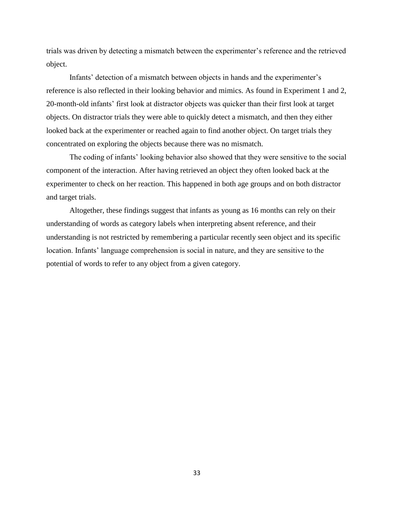trials was driven by detecting a mismatch between the experimenter's reference and the retrieved object.

Infants' detection of a mismatch between objects in hands and the experimenter's reference is also reflected in their looking behavior and mimics. As found in Experiment 1 and 2, 20-month-old infants' first look at distractor objects was quicker than their first look at target objects. On distractor trials they were able to quickly detect a mismatch, and then they either looked back at the experimenter or reached again to find another object. On target trials they concentrated on exploring the objects because there was no mismatch.

The coding of infants' looking behavior also showed that they were sensitive to the social component of the interaction. After having retrieved an object they often looked back at the experimenter to check on her reaction. This happened in both age groups and on both distractor and target trials.

Altogether, these findings suggest that infants as young as 16 months can rely on their understanding of words as category labels when interpreting absent reference, and their understanding is not restricted by remembering a particular recently seen object and its specific location. Infants' language comprehension is social in nature, and they are sensitive to the potential of words to refer to any object from a given category.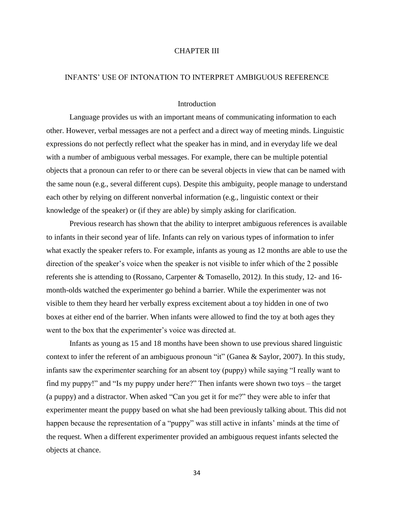#### CHAPTER III

#### INFANTS' USE OF INTONATION TO INTERPRET AMBIGUOUS REFERENCE

#### Introduction

Language provides us with an important means of communicating information to each other. However, verbal messages are not a perfect and a direct way of meeting minds. Linguistic expressions do not perfectly reflect what the speaker has in mind, and in everyday life we deal with a number of ambiguous verbal messages. For example, there can be multiple potential objects that a pronoun can refer to or there can be several objects in view that can be named with the same noun (e.g., several different cups). Despite this ambiguity, people manage to understand each other by relying on different nonverbal information (e.g., linguistic context or their knowledge of the speaker) or (if they are able) by simply asking for clarification.

Previous research has shown that the ability to interpret ambiguous references is available to infants in their second year of life. Infants can rely on various types of information to infer what exactly the speaker refers to. For example, infants as young as 12 months are able to use the direction of the speaker's voice when the speaker is not visible to infer which of the 2 possible referents she is attending to (Rossano, Carpenter & Tomasello, 2012*).* In this study, 12- and 16 month-olds watched the experimenter go behind a barrier. While the experimenter was not visible to them they heard her verbally express excitement about a toy hidden in one of two boxes at either end of the barrier. When infants were allowed to find the toy at both ages they went to the box that the experimenter's voice was directed at.

Infants as young as 15 and 18 months have been shown to use previous shared linguistic context to infer the referent of an ambiguous pronoun "it" (Ganea & Saylor, 2007). In this study, infants saw the experimenter searching for an absent toy (puppy) while saying "I really want to find my puppy!" and "Is my puppy under here?" Then infants were shown two toys – the target (a puppy) and a distractor. When asked "Can you get it for me?" they were able to infer that experimenter meant the puppy based on what she had been previously talking about. This did not happen because the representation of a "puppy" was still active in infants' minds at the time of the request. When a different experimenter provided an ambiguous request infants selected the objects at chance.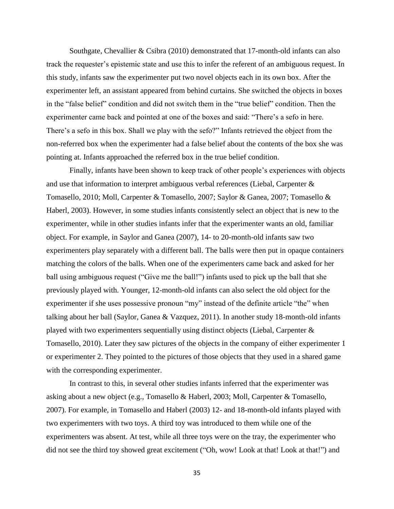Southgate, Chevallier & Csibra (2010) demonstrated that 17-month-old infants can also track the requester's epistemic state and use this to infer the referent of an ambiguous request. In this study, infants saw the experimenter put two novel objects each in its own box. After the experimenter left, an assistant appeared from behind curtains. She switched the objects in boxes in the "false belief" condition and did not switch them in the "true belief" condition. Then the experimenter came back and pointed at one of the boxes and said: "There's a sefo in here. There's a sefo in this box. Shall we play with the sefo?" Infants retrieved the object from the non-referred box when the experimenter had a false belief about the contents of the box she was pointing at. Infants approached the referred box in the true belief condition.

Finally, infants have been shown to keep track of other people's experiences with objects and use that information to interpret ambiguous verbal references (Liebal, Carpenter & Tomasello, 2010; Moll, Carpenter & Tomasello, 2007; Saylor & Ganea, 2007; Tomasello & Haberl, 2003). However, in some studies infants consistently select an object that is new to the experimenter, while in other studies infants infer that the experimenter wants an old, familiar object. For example, in Saylor and Ganea (2007), 14- to 20-month-old infants saw two experimenters play separately with a different ball. The balls were then put in opaque containers matching the colors of the balls. When one of the experimenters came back and asked for her ball using ambiguous request ("Give me the ball!") infants used to pick up the ball that she previously played with. Younger, 12-month-old infants can also select the old object for the experimenter if she uses possessive pronoun "my" instead of the definite article "the" when talking about her ball (Saylor, Ganea & Vazquez, 2011). In another study 18-month-old infants played with two experimenters sequentially using distinct objects (Liebal, Carpenter & Tomasello, 2010). Later they saw pictures of the objects in the company of either experimenter 1 or experimenter 2. They pointed to the pictures of those objects that they used in a shared game with the corresponding experimenter.

In contrast to this, in several other studies infants inferred that the experimenter was asking about a new object (e.g., Tomasello & Haberl, 2003; Moll, Carpenter & Tomasello, 2007). For example, in Tomasello and Haberl (2003) 12- and 18-month-old infants played with two experimenters with two toys. A third toy was introduced to them while one of the experimenters was absent. At test, while all three toys were on the tray, the experimenter who did not see the third toy showed great excitement ("Oh, wow! Look at that! Look at that!") and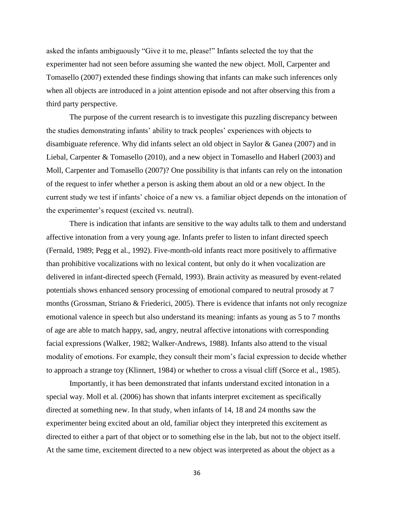asked the infants ambiguously "Give it to me, please!" Infants selected the toy that the experimenter had not seen before assuming she wanted the new object. Moll, Carpenter and Tomasello (2007) extended these findings showing that infants can make such inferences only when all objects are introduced in a joint attention episode and not after observing this from a third party perspective.

The purpose of the current research is to investigate this puzzling discrepancy between the studies demonstrating infants' ability to track peoples' experiences with objects to disambiguate reference. Why did infants select an old object in Saylor & Ganea (2007) and in Liebal, Carpenter & Tomasello (2010), and a new object in Tomasello and Haberl (2003) and Moll, Carpenter and Tomasello (2007)? One possibility is that infants can rely on the intonation of the request to infer whether a person is asking them about an old or a new object. In the current study we test if infants' choice of a new vs. a familiar object depends on the intonation of the experimenter's request (excited vs. neutral).

There is indication that infants are sensitive to the way adults talk to them and understand affective intonation from a very young age. Infants prefer to listen to infant directed speech (Fernald, 1989; Pegg et al., 1992). Five-month-old infants react more positively to affirmative than prohibitive vocalizations with no lexical content, but only do it when vocalization are delivered in infant-directed speech (Fernald, 1993). Brain activity as measured by event-related potentials shows enhanced sensory processing of emotional compared to neutral prosody at 7 months (Grossman, Striano & Friederici, 2005). There is evidence that infants not only recognize emotional valence in speech but also understand its meaning: infants as young as 5 to 7 months of age are able to match happy, sad, angry, neutral affective intonations with corresponding facial expressions (Walker, 1982; Walker-Andrews, 1988). Infants also attend to the visual modality of emotions. For example, they consult their mom's facial expression to decide whether to approach a strange toy (Klinnert, 1984) or whether to cross a visual cliff (Sorce et al., 1985).

Importantly, it has been demonstrated that infants understand excited intonation in a special way. Moll et al. (2006) has shown that infants interpret excitement as specifically directed at something new. In that study, when infants of 14, 18 and 24 months saw the experimenter being excited about an old, familiar object they interpreted this excitement as directed to either a part of that object or to something else in the lab, but not to the object itself. At the same time, excitement directed to a new object was interpreted as about the object as a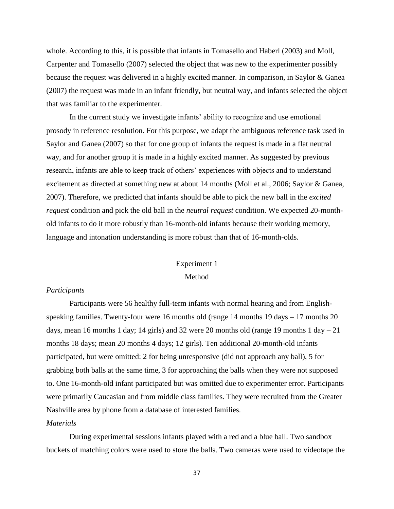whole. According to this, it is possible that infants in Tomasello and Haberl (2003) and Moll, Carpenter and Tomasello (2007) selected the object that was new to the experimenter possibly because the request was delivered in a highly excited manner. In comparison, in Saylor & Ganea (2007) the request was made in an infant friendly, but neutral way, and infants selected the object that was familiar to the experimenter.

In the current study we investigate infants' ability to recognize and use emotional prosody in reference resolution. For this purpose, we adapt the ambiguous reference task used in Saylor and Ganea (2007) so that for one group of infants the request is made in a flat neutral way, and for another group it is made in a highly excited manner. As suggested by previous research, infants are able to keep track of others' experiences with objects and to understand excitement as directed at something new at about 14 months (Moll et al., 2006; Saylor & Ganea, 2007). Therefore, we predicted that infants should be able to pick the new ball in the *excited request* condition and pick the old ball in the *neutral request* condition. We expected 20-monthold infants to do it more robustly than 16-month-old infants because their working memory, language and intonation understanding is more robust than that of 16-month-olds.

# Experiment 1

# Method

#### *Participants*

Participants were 56 healthy full-term infants with normal hearing and from Englishspeaking families. Twenty-four were 16 months old (range 14 months 19 days – 17 months 20 days, mean 16 months 1 day; 14 girls) and 32 were 20 months old (range 19 months 1 day  $-21$ months 18 days; mean 20 months 4 days; 12 girls). Ten additional 20-month-old infants participated, but were omitted: 2 for being unresponsive (did not approach any ball), 5 for grabbing both balls at the same time, 3 for approaching the balls when they were not supposed to. One 16-month-old infant participated but was omitted due to experimenter error. Participants were primarily Caucasian and from middle class families. They were recruited from the Greater Nashville area by phone from a database of interested families.

# *Materials*

During experimental sessions infants played with a red and a blue ball. Two sandbox buckets of matching colors were used to store the balls. Two cameras were used to videotape the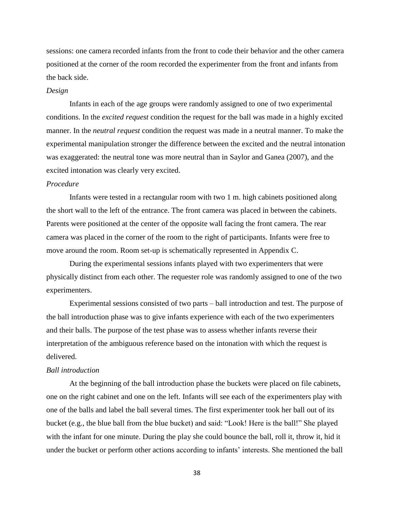sessions: one camera recorded infants from the front to code their behavior and the other camera positioned at the corner of the room recorded the experimenter from the front and infants from the back side.

#### *Design*

Infants in each of the age groups were randomly assigned to one of two experimental conditions. In the *excited request* condition the request for the ball was made in a highly excited manner. In the *neutral request* condition the request was made in a neutral manner. To make the experimental manipulation stronger the difference between the excited and the neutral intonation was exaggerated: the neutral tone was more neutral than in Saylor and Ganea (2007), and the excited intonation was clearly very excited.

# *Procedure*

Infants were tested in a rectangular room with two 1 m. high cabinets positioned along the short wall to the left of the entrance. The front camera was placed in between the cabinets. Parents were positioned at the center of the opposite wall facing the front camera. The rear camera was placed in the corner of the room to the right of participants. Infants were free to move around the room. Room set-up is schematically represented in Appendix C.

During the experimental sessions infants played with two experimenters that were physically distinct from each other. The requester role was randomly assigned to one of the two experimenters.

Experimental sessions consisted of two parts – ball introduction and test. The purpose of the ball introduction phase was to give infants experience with each of the two experimenters and their balls. The purpose of the test phase was to assess whether infants reverse their interpretation of the ambiguous reference based on the intonation with which the request is delivered.

#### *Ball introduction*

At the beginning of the ball introduction phase the buckets were placed on file cabinets, one on the right cabinet and one on the left. Infants will see each of the experimenters play with one of the balls and label the ball several times. The first experimenter took her ball out of its bucket (e.g., the blue ball from the blue bucket) and said: "Look! Here is the ball!" She played with the infant for one minute. During the play she could bounce the ball, roll it, throw it, hid it under the bucket or perform other actions according to infants' interests. She mentioned the ball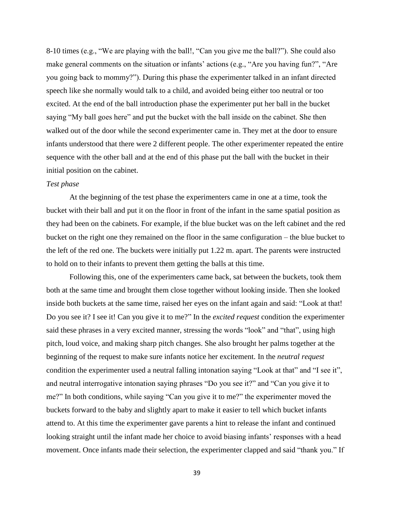8-10 times (e.g., "We are playing with the ball!, "Can you give me the ball?"). She could also make general comments on the situation or infants' actions (e.g., "Are you having fun?", "Are you going back to mommy?"). During this phase the experimenter talked in an infant directed speech like she normally would talk to a child, and avoided being either too neutral or too excited. At the end of the ball introduction phase the experimenter put her ball in the bucket saying "My ball goes here" and put the bucket with the ball inside on the cabinet. She then walked out of the door while the second experimenter came in. They met at the door to ensure infants understood that there were 2 different people. The other experimenter repeated the entire sequence with the other ball and at the end of this phase put the ball with the bucket in their initial position on the cabinet.

# *Test phase*

At the beginning of the test phase the experimenters came in one at a time, took the bucket with their ball and put it on the floor in front of the infant in the same spatial position as they had been on the cabinets. For example, if the blue bucket was on the left cabinet and the red bucket on the right one they remained on the floor in the same configuration – the blue bucket to the left of the red one. The buckets were initially put 1.22 m. apart. The parents were instructed to hold on to their infants to prevent them getting the balls at this time.

Following this, one of the experimenters came back, sat between the buckets, took them both at the same time and brought them close together without looking inside. Then she looked inside both buckets at the same time, raised her eyes on the infant again and said: "Look at that! Do you see it? I see it! Can you give it to me?" In the *excited request* condition the experimenter said these phrases in a very excited manner, stressing the words "look" and "that", using high pitch, loud voice, and making sharp pitch changes. She also brought her palms together at the beginning of the request to make sure infants notice her excitement. In the *neutral request* condition the experimenter used a neutral falling intonation saying "Look at that" and "I see it", and neutral interrogative intonation saying phrases "Do you see it?" and "Can you give it to me?" In both conditions, while saying "Can you give it to me?" the experimenter moved the buckets forward to the baby and slightly apart to make it easier to tell which bucket infants attend to. At this time the experimenter gave parents a hint to release the infant and continued looking straight until the infant made her choice to avoid biasing infants' responses with a head movement. Once infants made their selection, the experimenter clapped and said "thank you." If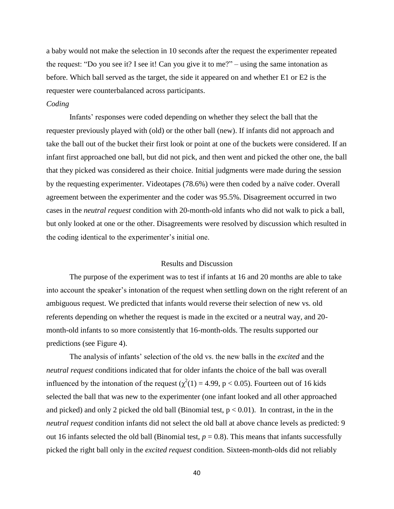a baby would not make the selection in 10 seconds after the request the experimenter repeated the request: "Do you see it? I see it! Can you give it to me?" – using the same intonation as before. Which ball served as the target, the side it appeared on and whether E1 or E2 is the requester were counterbalanced across participants.

# *Coding*

Infants' responses were coded depending on whether they select the ball that the requester previously played with (old) or the other ball (new). If infants did not approach and take the ball out of the bucket their first look or point at one of the buckets were considered. If an infant first approached one ball, but did not pick, and then went and picked the other one, the ball that they picked was considered as their choice. Initial judgments were made during the session by the requesting experimenter. Videotapes (78.6%) were then coded by a naïve coder. Overall agreement between the experimenter and the coder was 95.5%. Disagreement occurred in two cases in the *neutral request* condition with 20-month-old infants who did not walk to pick a ball, but only looked at one or the other. Disagreements were resolved by discussion which resulted in the coding identical to the experimenter's initial one.

#### Results and Discussion

The purpose of the experiment was to test if infants at 16 and 20 months are able to take into account the speaker's intonation of the request when settling down on the right referent of an ambiguous request. We predicted that infants would reverse their selection of new vs. old referents depending on whether the request is made in the excited or a neutral way, and 20 month-old infants to so more consistently that 16-month-olds. The results supported our predictions (see Figure 4).

The analysis of infants' selection of the old vs. the new balls in the *excited* and the *neutral request* conditions indicated that for older infants the choice of the ball was overall influenced by the intonation of the request ( $\chi^2(1) = 4.99$ , p < 0.05). Fourteen out of 16 kids selected the ball that was new to the experimenter (one infant looked and all other approached and picked) and only 2 picked the old ball (Binomial test,  $p < 0.01$ ). In contrast, in the in the *neutral request* condition infants did not select the old ball at above chance levels as predicted: 9 out 16 infants selected the old ball (Binomial test,  $p = 0.8$ ). This means that infants successfully picked the right ball only in the *excited request* condition. Sixteen-month-olds did not reliably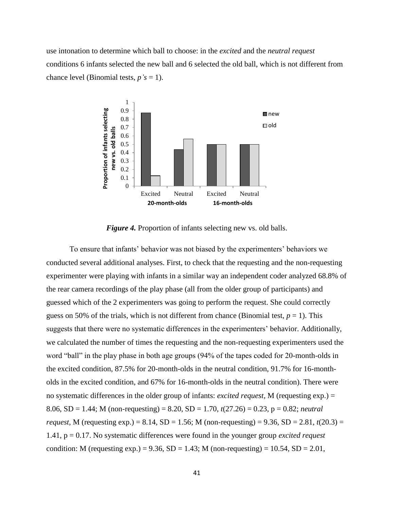use intonation to determine which ball to choose: in the *excited* and the *neutral request* conditions 6 infants selected the new ball and 6 selected the old ball, which is not different from chance level (Binomial tests,  $p's = 1$ ).



*Figure 4.* Proportion of infants selecting new vs. old balls.

To ensure that infants' behavior was not biased by the experimenters' behaviors we conducted several additional analyses. First, to check that the requesting and the non-requesting experimenter were playing with infants in a similar way an independent coder analyzed 68.8% of the rear camera recordings of the play phase (all from the older group of participants) and guessed which of the 2 experimenters was going to perform the request. She could correctly guess on 50% of the trials, which is not different from chance (Binomial test,  $p = 1$ ). This suggests that there were no systematic differences in the experimenters' behavior. Additionally, we calculated the number of times the requesting and the non-requesting experimenters used the word "ball" in the play phase in both age groups (94% of the tapes coded for 20-month-olds in the excited condition, 87.5% for 20-month-olds in the neutral condition, 91.7% for 16-montholds in the excited condition, and 67% for 16-month-olds in the neutral condition). There were no systematic differences in the older group of infants: *excited request,* M (requesting exp.) = 8.06, SD = 1.44; M (non-requesting) = 8.20, SD = 1.70, *t*(27.26) = 0.23, p = 0.82; *neutral request,* M (requesting exp.) = 8.14, SD = 1.56; M (non-requesting) = 9.36, SD = 2.81,  $t(20.3)$  = 1.41, p = 0.17. No systematic differences were found in the younger group *excited request* condition: M (requesting exp.) = 9.36,  $SD = 1.43$ ; M (non-requesting) = 10.54,  $SD = 2.01$ ,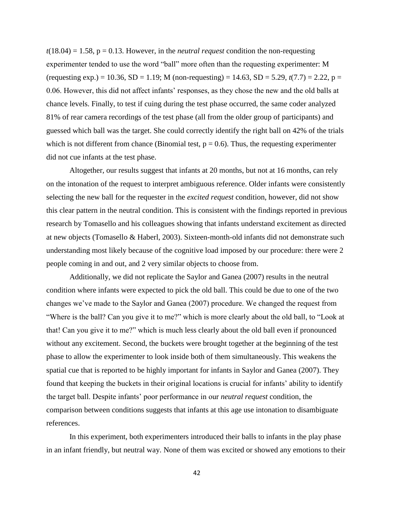$t(18.04) = 1.58$ ,  $p = 0.13$ . However, in the *neutral request* condition the non-requesting experimenter tended to use the word "ball" more often than the requesting experimenter: M (requesting exp.) = 10.36, SD = 1.19; M (non-requesting) = 14.63, SD = 5.29,  $t(7.7)$  = 2.22, p = 0.06. However, this did not affect infants' responses, as they chose the new and the old balls at chance levels. Finally, to test if cuing during the test phase occurred, the same coder analyzed 81% of rear camera recordings of the test phase (all from the older group of participants) and guessed which ball was the target. She could correctly identify the right ball on 42% of the trials which is not different from chance (Binomial test,  $p = 0.6$ ). Thus, the requesting experimenter did not cue infants at the test phase.

Altogether, our results suggest that infants at 20 months, but not at 16 months, can rely on the intonation of the request to interpret ambiguous reference. Older infants were consistently selecting the new ball for the requester in the *excited request* condition, however, did not show this clear pattern in the neutral condition. This is consistent with the findings reported in previous research by Tomasello and his colleagues showing that infants understand excitement as directed at new objects (Tomasello & Haberl, 2003). Sixteen-month-old infants did not demonstrate such understanding most likely because of the cognitive load imposed by our procedure: there were 2 people coming in and out, and 2 very similar objects to choose from.

Additionally, we did not replicate the Saylor and Ganea (2007) results in the neutral condition where infants were expected to pick the old ball. This could be due to one of the two changes we've made to the Saylor and Ganea (2007) procedure. We changed the request from "Where is the ball? Can you give it to me?" which is more clearly about the old ball, to "Look at that! Can you give it to me?" which is much less clearly about the old ball even if pronounced without any excitement. Second, the buckets were brought together at the beginning of the test phase to allow the experimenter to look inside both of them simultaneously. This weakens the spatial cue that is reported to be highly important for infants in Saylor and Ganea (2007). They found that keeping the buckets in their original locations is crucial for infants' ability to identify the target ball. Despite infants' poor performance in our *neutral request* condition, the comparison between conditions suggests that infants at this age use intonation to disambiguate references.

In this experiment, both experimenters introduced their balls to infants in the play phase in an infant friendly, but neutral way. None of them was excited or showed any emotions to their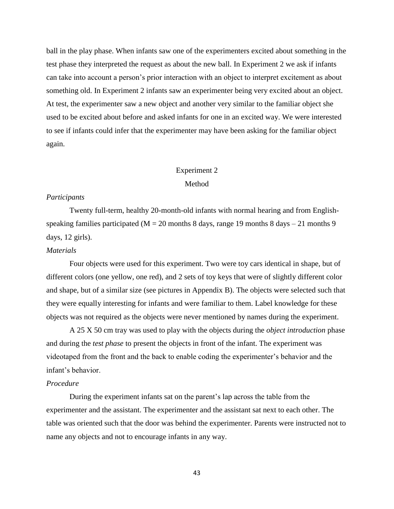ball in the play phase. When infants saw one of the experimenters excited about something in the test phase they interpreted the request as about the new ball. In Experiment 2 we ask if infants can take into account a person's prior interaction with an object to interpret excitement as about something old. In Experiment 2 infants saw an experimenter being very excited about an object. At test, the experimenter saw a new object and another very similar to the familiar object she used to be excited about before and asked infants for one in an excited way. We were interested to see if infants could infer that the experimenter may have been asking for the familiar object again.

# Experiment 2

# Method

#### *Participants*

Twenty full-term, healthy 20-month-old infants with normal hearing and from Englishspeaking families participated ( $M = 20$  months 8 days, range 19 months 8 days – 21 months 9 days, 12 girls).

# *Materials*

Four objects were used for this experiment. Two were toy cars identical in shape, but of different colors (one yellow, one red), and 2 sets of toy keys that were of slightly different color and shape, but of a similar size (see pictures in Appendix B). The objects were selected such that they were equally interesting for infants and were familiar to them. Label knowledge for these objects was not required as the objects were never mentioned by names during the experiment.

A 25 X 50 cm tray was used to play with the objects during the *object introduction* phase and during the *test phase* to present the objects in front of the infant. The experiment was videotaped from the front and the back to enable coding the experimenter's behavior and the infant's behavior.

# *Procedure*

During the experiment infants sat on the parent's lap across the table from the experimenter and the assistant. The experimenter and the assistant sat next to each other. The table was oriented such that the door was behind the experimenter. Parents were instructed not to name any objects and not to encourage infants in any way.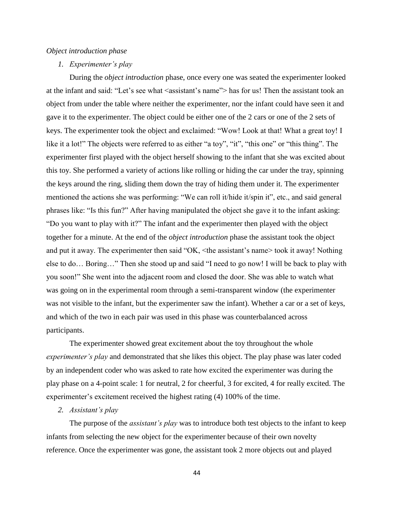#### *Object introduction phase*

#### *1. Experimenter's play*

During the *object introduction* phase, once every one was seated the experimenter looked at the infant and said: "Let's see what <assistant's name"> has for us! Then the assistant took an object from under the table where neither the experimenter, nor the infant could have seen it and gave it to the experimenter. The object could be either one of the 2 cars or one of the 2 sets of keys. The experimenter took the object and exclaimed: "Wow! Look at that! What a great toy! I like it a lot!" The objects were referred to as either "a toy", "it", "this one" or "this thing". The experimenter first played with the object herself showing to the infant that she was excited about this toy. She performed a variety of actions like rolling or hiding the car under the tray, spinning the keys around the ring, sliding them down the tray of hiding them under it. The experimenter mentioned the actions she was performing: "We can roll it/hide it/spin it", etc., and said general phrases like: "Is this fun?" After having manipulated the object she gave it to the infant asking: "Do you want to play with it?" The infant and the experimenter then played with the object together for a minute. At the end of the *object introduction* phase the assistant took the object and put it away. The experimenter then said "OK, <the assistant's name> took it away! Nothing else to do… Boring…" Then she stood up and said "I need to go now! I will be back to play with you soon!" She went into the adjacent room and closed the door. She was able to watch what was going on in the experimental room through a semi-transparent window (the experimenter was not visible to the infant, but the experimenter saw the infant). Whether a car or a set of keys, and which of the two in each pair was used in this phase was counterbalanced across participants.

The experimenter showed great excitement about the toy throughout the whole *experimenter's play* and demonstrated that she likes this object. The play phase was later coded by an independent coder who was asked to rate how excited the experimenter was during the play phase on a 4-point scale: 1 for neutral, 2 for cheerful, 3 for excited, 4 for really excited. The experimenter's excitement received the highest rating (4) 100% of the time.

# *2. Assistant's play*

The purpose of the *assistant's play* was to introduce both test objects to the infant to keep infants from selecting the new object for the experimenter because of their own novelty reference. Once the experimenter was gone, the assistant took 2 more objects out and played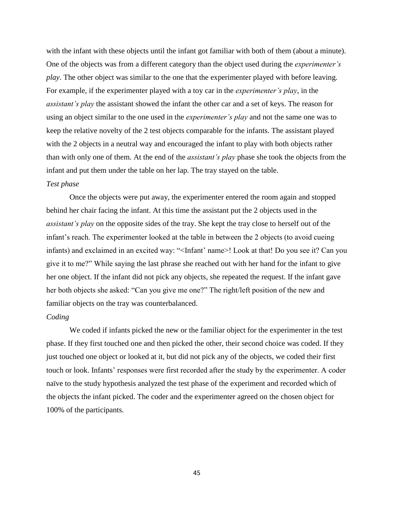with the infant with these objects until the infant got familiar with both of them (about a minute). One of the objects was from a different category than the object used during the *experimenter's play*. The other object was similar to the one that the experimenter played with before leaving. For example, if the experimenter played with a toy car in the *experimenter's play*, in the *assistant's play* the assistant showed the infant the other car and a set of keys. The reason for using an object similar to the one used in the *experimenter's play* and not the same one was to keep the relative novelty of the 2 test objects comparable for the infants. The assistant played with the 2 objects in a neutral way and encouraged the infant to play with both objects rather than with only one of them. At the end of the *assistant's play* phase she took the objects from the infant and put them under the table on her lap. The tray stayed on the table.

# *Test phase*

Once the objects were put away, the experimenter entered the room again and stopped behind her chair facing the infant. At this time the assistant put the 2 objects used in the *assistant's play* on the opposite sides of the tray. She kept the tray close to herself out of the infant's reach. The experimenter looked at the table in between the 2 objects (to avoid cueing infants) and exclaimed in an excited way: "<Infant' name>! Look at that! Do you see it? Can you give it to me?" While saying the last phrase she reached out with her hand for the infant to give her one object. If the infant did not pick any objects, she repeated the request. If the infant gave her both objects she asked: "Can you give me one?" The right/left position of the new and familiar objects on the tray was counterbalanced.

#### *Coding*

We coded if infants picked the new or the familiar object for the experimenter in the test phase. If they first touched one and then picked the other, their second choice was coded. If they just touched one object or looked at it, but did not pick any of the objects, we coded their first touch or look. Infants' responses were first recorded after the study by the experimenter. A coder naïve to the study hypothesis analyzed the test phase of the experiment and recorded which of the objects the infant picked. The coder and the experimenter agreed on the chosen object for 100% of the participants.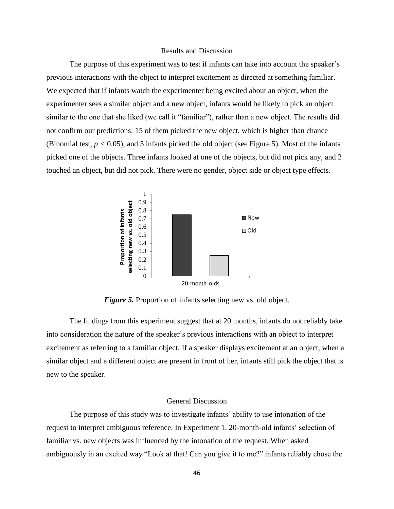#### Results and Discussion

The purpose of this experiment was to test if infants can take into account the speaker's previous interactions with the object to interpret excitement as directed at something familiar. We expected that if infants watch the experimenter being excited about an object, when the experimenter sees a similar object and a new object, infants would be likely to pick an object similar to the one that she liked (we call it "familiar"), rather than a new object. The results did not confirm our predictions: 15 of them picked the new object, which is higher than chance (Binomial test,  $p < 0.05$ ), and 5 infants picked the old object (see Figure 5). Most of the infants picked one of the objects. Three infants looked at one of the objects, but did not pick any, and 2 touched an object, but did not pick. There were no gender, object side or object type effects.



*Figure 5.* Proportion of infants selecting new vs. old object.

The findings from this experiment suggest that at 20 months, infants do not reliably take into consideration the nature of the speaker's previous interactions with an object to interpret excitement as referring to a familiar object. If a speaker displays excitement at an object, when a similar object and a different object are present in front of her, infants still pick the object that is new to the speaker.

#### General Discussion

The purpose of this study was to investigate infants' ability to use intonation of the request to interpret ambiguous reference. In Experiment 1, 20-month-old infants' selection of familiar vs. new objects was influenced by the intonation of the request. When asked ambiguously in an excited way "Look at that! Can you give it to me?" infants reliably chose the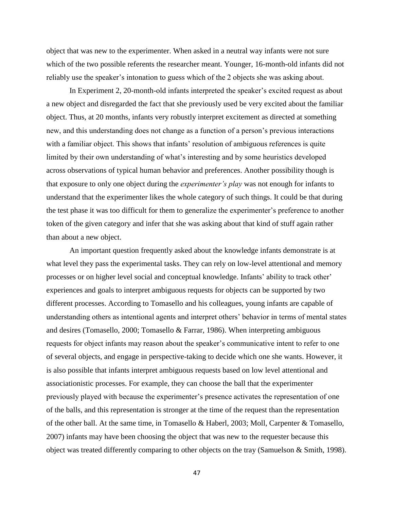object that was new to the experimenter. When asked in a neutral way infants were not sure which of the two possible referents the researcher meant. Younger, 16-month-old infants did not reliably use the speaker's intonation to guess which of the 2 objects she was asking about.

In Experiment 2, 20-month-old infants interpreted the speaker's excited request as about a new object and disregarded the fact that she previously used be very excited about the familiar object. Thus, at 20 months, infants very robustly interpret excitement as directed at something new, and this understanding does not change as a function of a person's previous interactions with a familiar object. This shows that infants' resolution of ambiguous references is quite limited by their own understanding of what's interesting and by some heuristics developed across observations of typical human behavior and preferences. Another possibility though is that exposure to only one object during the *experimenter's play* was not enough for infants to understand that the experimenter likes the whole category of such things. It could be that during the test phase it was too difficult for them to generalize the experimenter's preference to another token of the given category and infer that she was asking about that kind of stuff again rather than about a new object.

An important question frequently asked about the knowledge infants demonstrate is at what level they pass the experimental tasks. They can rely on low-level attentional and memory processes or on higher level social and conceptual knowledge. Infants' ability to track other' experiences and goals to interpret ambiguous requests for objects can be supported by two different processes. According to Tomasello and his colleagues, young infants are capable of understanding others as intentional agents and interpret others' behavior in terms of mental states and desires (Tomasello, 2000; Tomasello & Farrar, 1986). When interpreting ambiguous requests for object infants may reason about the speaker's communicative intent to refer to one of several objects, and engage in perspective-taking to decide which one she wants. However, it is also possible that infants interpret ambiguous requests based on low level attentional and associationistic processes. For example, they can choose the ball that the experimenter previously played with because the experimenter's presence activates the representation of one of the balls, and this representation is stronger at the time of the request than the representation of the other ball. At the same time, in Tomasello & Haberl, 2003; Moll, Carpenter & Tomasello, 2007) infants may have been choosing the object that was new to the requester because this object was treated differently comparing to other objects on the tray (Samuelson & Smith, 1998).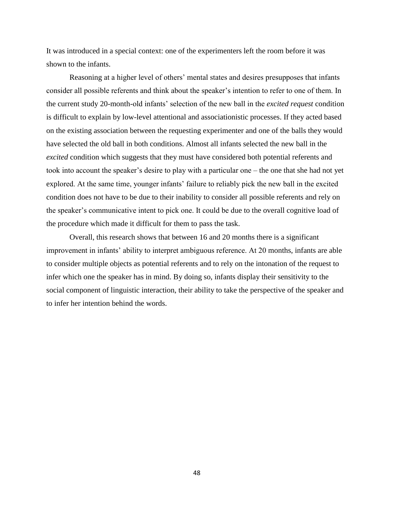It was introduced in a special context: one of the experimenters left the room before it was shown to the infants.

Reasoning at a higher level of others' mental states and desires presupposes that infants consider all possible referents and think about the speaker's intention to refer to one of them. In the current study 20-month-old infants' selection of the new ball in the *excited request* condition is difficult to explain by low-level attentional and associationistic processes. If they acted based on the existing association between the requesting experimenter and one of the balls they would have selected the old ball in both conditions. Almost all infants selected the new ball in the *excited* condition which suggests that they must have considered both potential referents and took into account the speaker's desire to play with a particular one – the one that she had not yet explored. At the same time, younger infants' failure to reliably pick the new ball in the excited condition does not have to be due to their inability to consider all possible referents and rely on the speaker's communicative intent to pick one. It could be due to the overall cognitive load of the procedure which made it difficult for them to pass the task.

Overall, this research shows that between 16 and 20 months there is a significant improvement in infants' ability to interpret ambiguous reference. At 20 months, infants are able to consider multiple objects as potential referents and to rely on the intonation of the request to infer which one the speaker has in mind. By doing so, infants display their sensitivity to the social component of linguistic interaction, their ability to take the perspective of the speaker and to infer her intention behind the words.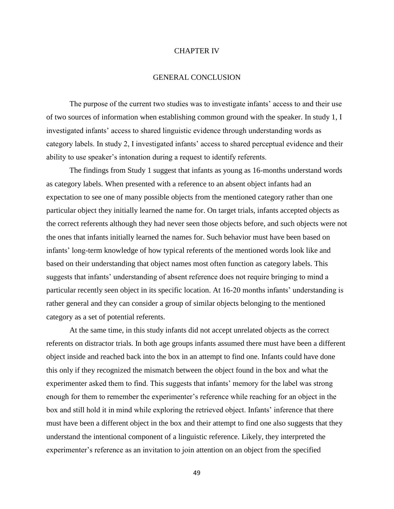#### CHAPTER IV

#### GENERAL CONCLUSION

The purpose of the current two studies was to investigate infants' access to and their use of two sources of information when establishing common ground with the speaker. In study 1, I investigated infants' access to shared linguistic evidence through understanding words as category labels. In study 2, I investigated infants' access to shared perceptual evidence and their ability to use speaker's intonation during a request to identify referents.

The findings from Study 1 suggest that infants as young as 16-months understand words as category labels. When presented with a reference to an absent object infants had an expectation to see one of many possible objects from the mentioned category rather than one particular object they initially learned the name for. On target trials, infants accepted objects as the correct referents although they had never seen those objects before, and such objects were not the ones that infants initially learned the names for. Such behavior must have been based on infants' long-term knowledge of how typical referents of the mentioned words look like and based on their understanding that object names most often function as category labels. This suggests that infants' understanding of absent reference does not require bringing to mind a particular recently seen object in its specific location. At 16-20 months infants' understanding is rather general and they can consider a group of similar objects belonging to the mentioned category as a set of potential referents.

At the same time, in this study infants did not accept unrelated objects as the correct referents on distractor trials. In both age groups infants assumed there must have been a different object inside and reached back into the box in an attempt to find one. Infants could have done this only if they recognized the mismatch between the object found in the box and what the experimenter asked them to find. This suggests that infants' memory for the label was strong enough for them to remember the experimenter's reference while reaching for an object in the box and still hold it in mind while exploring the retrieved object. Infants' inference that there must have been a different object in the box and their attempt to find one also suggests that they understand the intentional component of a linguistic reference. Likely, they interpreted the experimenter's reference as an invitation to join attention on an object from the specified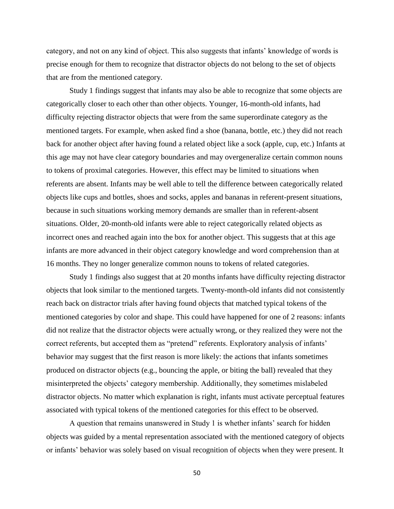category, and not on any kind of object. This also suggests that infants' knowledge of words is precise enough for them to recognize that distractor objects do not belong to the set of objects that are from the mentioned category.

Study 1 findings suggest that infants may also be able to recognize that some objects are categorically closer to each other than other objects. Younger, 16-month-old infants, had difficulty rejecting distractor objects that were from the same superordinate category as the mentioned targets. For example, when asked find a shoe (banana, bottle, etc.) they did not reach back for another object after having found a related object like a sock (apple, cup, etc.) Infants at this age may not have clear category boundaries and may overgeneralize certain common nouns to tokens of proximal categories. However, this effect may be limited to situations when referents are absent. Infants may be well able to tell the difference between categorically related objects like cups and bottles, shoes and socks, apples and bananas in referent-present situations, because in such situations working memory demands are smaller than in referent-absent situations. Older, 20-month-old infants were able to reject categorically related objects as incorrect ones and reached again into the box for another object. This suggests that at this age infants are more advanced in their object category knowledge and word comprehension than at 16 months. They no longer generalize common nouns to tokens of related categories.

Study 1 findings also suggest that at 20 months infants have difficulty rejecting distractor objects that look similar to the mentioned targets. Twenty-month-old infants did not consistently reach back on distractor trials after having found objects that matched typical tokens of the mentioned categories by color and shape. This could have happened for one of 2 reasons: infants did not realize that the distractor objects were actually wrong, or they realized they were not the correct referents, but accepted them as "pretend" referents. Exploratory analysis of infants' behavior may suggest that the first reason is more likely: the actions that infants sometimes produced on distractor objects (e.g., bouncing the apple, or biting the ball) revealed that they misinterpreted the objects' category membership. Additionally, they sometimes mislabeled distractor objects. No matter which explanation is right, infants must activate perceptual features associated with typical tokens of the mentioned categories for this effect to be observed.

A question that remains unanswered in Study 1 is whether infants' search for hidden objects was guided by a mental representation associated with the mentioned category of objects or infants' behavior was solely based on visual recognition of objects when they were present. It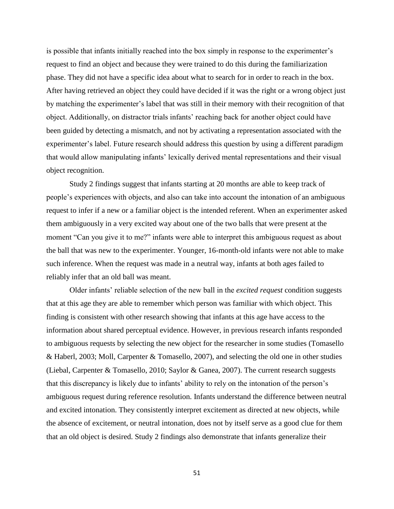is possible that infants initially reached into the box simply in response to the experimenter's request to find an object and because they were trained to do this during the familiarization phase. They did not have a specific idea about what to search for in order to reach in the box. After having retrieved an object they could have decided if it was the right or a wrong object just by matching the experimenter's label that was still in their memory with their recognition of that object. Additionally, on distractor trials infants' reaching back for another object could have been guided by detecting a mismatch, and not by activating a representation associated with the experimenter's label. Future research should address this question by using a different paradigm that would allow manipulating infants' lexically derived mental representations and their visual object recognition.

Study 2 findings suggest that infants starting at 20 months are able to keep track of people's experiences with objects, and also can take into account the intonation of an ambiguous request to infer if a new or a familiar object is the intended referent. When an experimenter asked them ambiguously in a very excited way about one of the two balls that were present at the moment "Can you give it to me?" infants were able to interpret this ambiguous request as about the ball that was new to the experimenter. Younger, 16-month-old infants were not able to make such inference. When the request was made in a neutral way, infants at both ages failed to reliably infer that an old ball was meant.

Older infants' reliable selection of the new ball in the *excited request* condition suggests that at this age they are able to remember which person was familiar with which object. This finding is consistent with other research showing that infants at this age have access to the information about shared perceptual evidence. However, in previous research infants responded to ambiguous requests by selecting the new object for the researcher in some studies (Tomasello & Haberl, 2003; Moll, Carpenter & Tomasello, 2007), and selecting the old one in other studies (Liebal, Carpenter & Tomasello, 2010; Saylor & Ganea, 2007). The current research suggests that this discrepancy is likely due to infants' ability to rely on the intonation of the person's ambiguous request during reference resolution. Infants understand the difference between neutral and excited intonation. They consistently interpret excitement as directed at new objects, while the absence of excitement, or neutral intonation, does not by itself serve as a good clue for them that an old object is desired. Study 2 findings also demonstrate that infants generalize their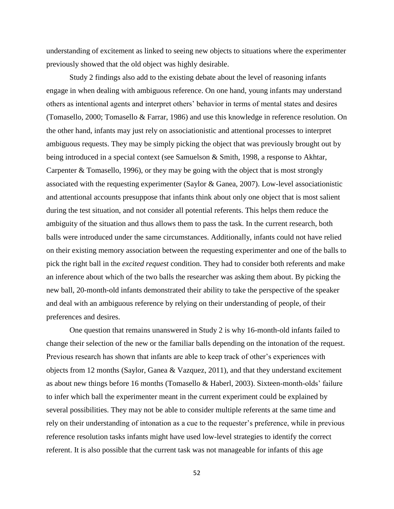understanding of excitement as linked to seeing new objects to situations where the experimenter previously showed that the old object was highly desirable.

Study 2 findings also add to the existing debate about the level of reasoning infants engage in when dealing with ambiguous reference. On one hand, young infants may understand others as intentional agents and interpret others' behavior in terms of mental states and desires (Tomasello, 2000; Tomasello & Farrar, 1986) and use this knowledge in reference resolution. On the other hand, infants may just rely on associationistic and attentional processes to interpret ambiguous requests. They may be simply picking the object that was previously brought out by being introduced in a special context (see Samuelson & Smith, 1998, a response to Akhtar, Carpenter & Tomasello, 1996), or they may be going with the object that is most strongly associated with the requesting experimenter (Saylor & Ganea, 2007). Low-level associationistic and attentional accounts presuppose that infants think about only one object that is most salient during the test situation, and not consider all potential referents. This helps them reduce the ambiguity of the situation and thus allows them to pass the task. In the current research, both balls were introduced under the same circumstances. Additionally, infants could not have relied on their existing memory association between the requesting experimenter and one of the balls to pick the right ball in the *excited request* condition. They had to consider both referents and make an inference about which of the two balls the researcher was asking them about. By picking the new ball, 20-month-old infants demonstrated their ability to take the perspective of the speaker and deal with an ambiguous reference by relying on their understanding of people, of their preferences and desires.

One question that remains unanswered in Study 2 is why 16-month-old infants failed to change their selection of the new or the familiar balls depending on the intonation of the request. Previous research has shown that infants are able to keep track of other's experiences with objects from 12 months (Saylor, Ganea & Vazquez, 2011), and that they understand excitement as about new things before 16 months (Tomasello & Haberl, 2003). Sixteen-month-olds' failure to infer which ball the experimenter meant in the current experiment could be explained by several possibilities. They may not be able to consider multiple referents at the same time and rely on their understanding of intonation as a cue to the requester's preference, while in previous reference resolution tasks infants might have used low-level strategies to identify the correct referent. It is also possible that the current task was not manageable for infants of this age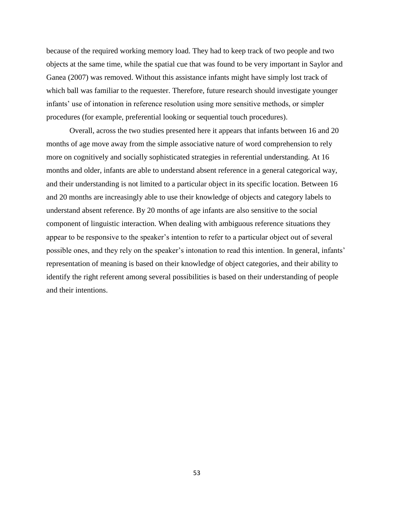because of the required working memory load. They had to keep track of two people and two objects at the same time, while the spatial cue that was found to be very important in Saylor and Ganea (2007) was removed. Without this assistance infants might have simply lost track of which ball was familiar to the requester. Therefore, future research should investigate younger infants' use of intonation in reference resolution using more sensitive methods, or simpler procedures (for example, preferential looking or sequential touch procedures).

Overall, across the two studies presented here it appears that infants between 16 and 20 months of age move away from the simple associative nature of word comprehension to rely more on cognitively and socially sophisticated strategies in referential understanding. At 16 months and older, infants are able to understand absent reference in a general categorical way, and their understanding is not limited to a particular object in its specific location. Between 16 and 20 months are increasingly able to use their knowledge of objects and category labels to understand absent reference. By 20 months of age infants are also sensitive to the social component of linguistic interaction. When dealing with ambiguous reference situations they appear to be responsive to the speaker's intention to refer to a particular object out of several possible ones, and they rely on the speaker's intonation to read this intention. In general, infants' representation of meaning is based on their knowledge of object categories, and their ability to identify the right referent among several possibilities is based on their understanding of people and their intentions.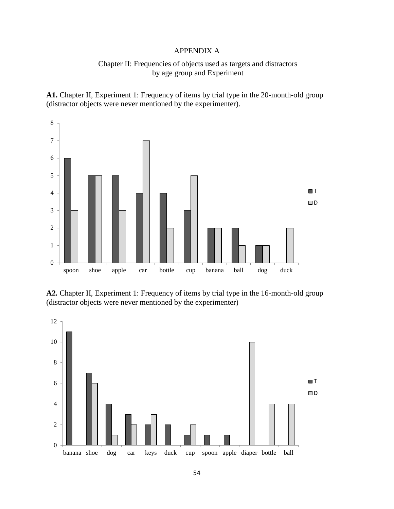# APPENDIX A

# Chapter II: Frequencies of objects used as targets and distractors by age group and Experiment

**A1.** Chapter II, Experiment 1: Frequency of items by trial type in the 20-month-old group (distractor objects were never mentioned by the experimenter).



**A2***.* Chapter II, Experiment 1: Frequency of items by trial type in the 16-month-old group (distractor objects were never mentioned by the experimenter)

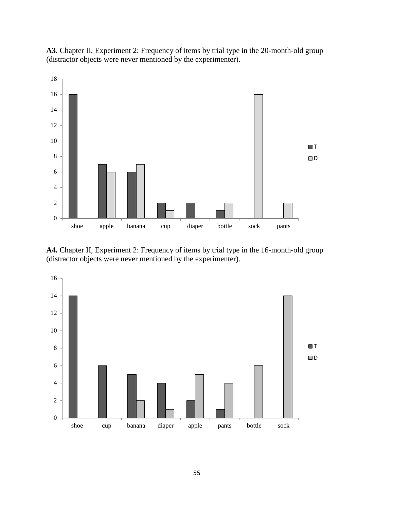**A3***.* Chapter II, Experiment 2: Frequency of items by trial type in the 20-month-old group (distractor objects were never mentioned by the experimenter).



**A4***.* Chapter II, Experiment 2: Frequency of items by trial type in the 16-month-old group (distractor objects were never mentioned by the experimenter).

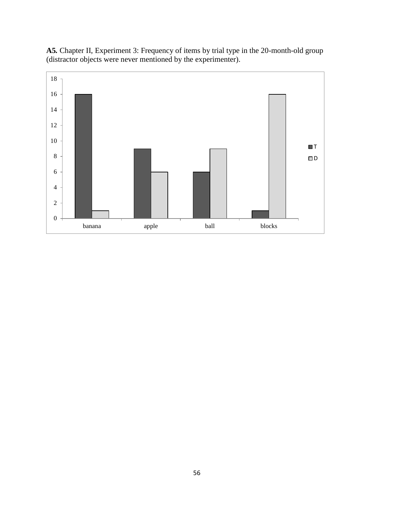

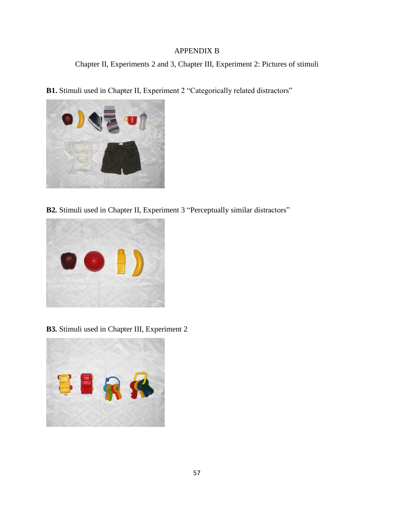# APPENDIX B

Chapter II, Experiments 2 and 3, Chapter III, Experiment 2: Pictures of stimuli

**B1.** Stimuli used in Chapter II, Experiment 2 "Categorically related distractors"



**B2***.* Stimuli used in Chapter II, Experiment 3 "Perceptually similar distractors"



**B3***.* Stimuli used in Chapter III, Experiment 2

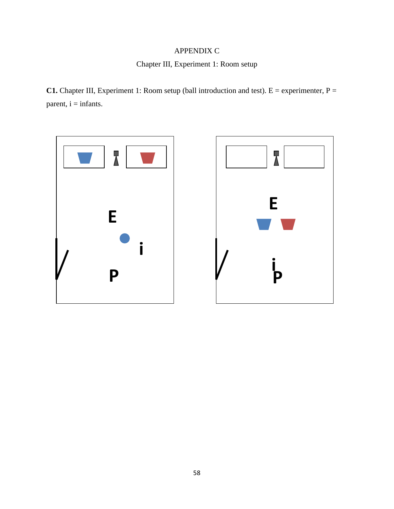# APPENDIX C

Chapter III, Experiment 1: Room setup

**C1.** Chapter III, Experiment 1: Room setup (ball introduction and test).  $E =$  experimenter,  $P =$  $parent, i = infants.$ 

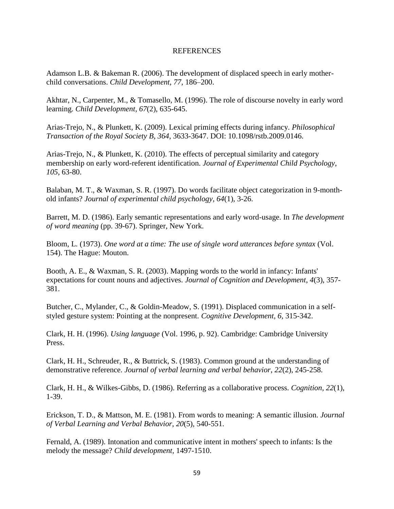#### REFERENCES

Adamson L.B. & Bakeman R. (2006). The development of displaced speech in early motherchild conversations. *Child Development, 77,* 186–200.

Akhtar, N., Carpenter, M., & Tomasello, M. (1996). The role of discourse novelty in early word learning. *Child Development*, *67*(2), 635-645.

Arias-Trejo, N., & Plunkett, K. (2009). Lexical priming effects during infancy. *Philosophical Transaction of the Royal Society B*, *364*, 3633-3647. DOI: 10.1098/rstb.2009.0146.

Arias-Trejo, N., & Plunkett, K. (2010). The effects of perceptual similarity and category membership on early word-referent identification. *Journal of Experimental Child Psychology*, *105*, 63-80.

Balaban, M. T., & Waxman, S. R. (1997). Do words facilitate object categorization in 9-monthold infants? *Journal of experimental child psychology*, *64*(1), 3-26.

Barrett, M. D. (1986). Early semantic representations and early word-usage. In *The development of word meaning* (pp. 39-67). Springer, New York.

Bloom, L. (1973). *One word at a time: The use of single word utterances before syntax* (Vol. 154). The Hague: Mouton.

Booth, A. E., & Waxman, S. R. (2003). Mapping words to the world in infancy: Infants' expectations for count nouns and adjectives. *Journal of Cognition and Development*, *4*(3), 357- 381.

Butcher, C., Mylander, C., & Goldin-Meadow, S. (1991). Displaced communication in a selfstyled gesture system: Pointing at the nonpresent. *Cognitive Development, 6,* 315-342.

Clark, H. H. (1996). *Using language* (Vol. 1996, p. 92). Cambridge: Cambridge University Press.

Clark, H. H., Schreuder, R., & Buttrick, S. (1983). Common ground at the understanding of demonstrative reference. *Journal of verbal learning and verbal behavior*, *22*(2), 245-258.

Clark, H. H., & Wilkes-Gibbs, D. (1986). Referring as a collaborative process. *Cognition*, *22*(1), 1-39.

Erickson, T. D., & Mattson, M. E. (1981). From words to meaning: A semantic illusion. *Journal of Verbal Learning and Verbal Behavior*, *20*(5), 540-551.

Fernald, A. (1989). Intonation and communicative intent in mothers' speech to infants: Is the melody the message? *Child development*, 1497-1510.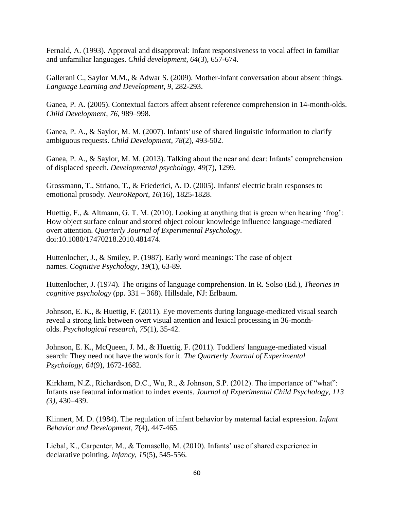Fernald, A. (1993). Approval and disapproval: Infant responsiveness to vocal affect in familiar and unfamiliar languages. *Child development*, *64*(3), 657-674.

Gallerani C., Saylor M.M., & Adwar S. (2009). Mother-infant conversation about absent things. *Language Learning and Development, 9,* 282-293.

Ganea, P. A. (2005). Contextual factors affect absent reference comprehension in 14-month-olds. *Child Development*, *76,* 989–998.

Ganea, P. A., & Saylor, M. M. (2007). Infants' use of shared linguistic information to clarify ambiguous requests. *Child Development*, *78*(2), 493-502.

Ganea, P. A., & Saylor, M. M. (2013). Talking about the near and dear: Infants' comprehension of displaced speech. *Developmental psychology*, *49*(7), 1299.

Grossmann, T., Striano, T., & Friederici, A. D. (2005). Infants' electric brain responses to emotional prosody. *NeuroReport*, *16*(16), 1825-1828.

Huettig, F., & Altmann, G. T. M. (2010). Looking at anything that is green when hearing 'frog': [How object surface colour and stored object colour knowledge influence language-mediated](http://www.tandfonline.com/doi/abs/10.1080/17470218.2010.481474)  [overt attention.](http://www.tandfonline.com/doi/abs/10.1080/17470218.2010.481474) *Quarterly Journal of Experimental Psychology.* doi:10.1080/17470218.2010.481474.

Huttenlocher, J., & Smiley, P. (1987). Early word meanings: The case of object names. *Cognitive Psychology*, *19*(1), 63-89.

Huttenlocher, J. (1974). The origins of language comprehension. In R. Solso (Ed.), *Theories in cognitive psychology* (pp. 331 – 368). Hillsdale, NJ: Erlbaum.

Johnson, E. K., & Huettig, F. (2011). Eye movements during language-mediated visual search reveal a strong link between overt visual attention and lexical processing in 36-montholds. *Psychological research*, *75*(1), 35-42.

Johnson, E. K., McQueen, J. M., & Huettig, F. (2011). Toddlers' language-mediated visual search: They need not have the words for it. *The Quarterly Journal of Experimental Psychology*, *64*(9), 1672-1682.

Kirkham, N.Z., Richardson, D.C., Wu, R., & Johnson, S.P. (2012). The importance of "what": Infants use featural information to index events. *Journal of Experimental Child Psychology, 113 (3),* 430–439.

Klinnert, M. D. (1984). The regulation of infant behavior by maternal facial expression. *Infant Behavior and Development*, *7*(4), 447-465.

Liebal, K., Carpenter, M., & Tomasello, M. (2010). Infants' use of shared experience in declarative pointing. *Infancy*, *15*(5), 545-556.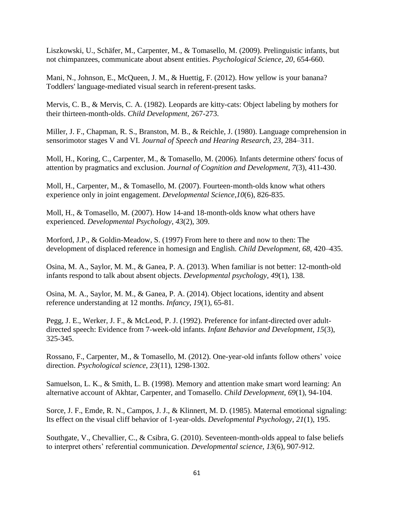Liszkowski, U., Schäfer, M., Carpenter, M., & Tomasello, M. (2009). Prelinguistic infants, but not chimpanzees, communicate about absent entities. *Psychological Science, 20,* 654-660.

Mani, N., Johnson, E., McQueen, J. M., & Huettig, F. (2012). How yellow is your banana? Toddlers' language-mediated visual search in referent-present tasks.

Mervis, C. B., & Mervis, C. A. (1982). Leopards are kitty-cats: Object labeling by mothers for their thirteen-month-olds. *Child Development,* 267-273.

Miller, J. F., Chapman, R. S., Branston, M. B., & Reichle, J. (1980). Language comprehension in sensorimotor stages V and VI. *Journal of Speech and Hearing Research, 23,* 284–311.

Moll, H., Koring, C., Carpenter, M., & Tomasello, M. (2006). Infants determine others' focus of attention by pragmatics and exclusion. *Journal of Cognition and Development*, *7*(3), 411-430.

Moll, H., Carpenter, M., & Tomasello, M. (2007). Fourteen-month-olds know what others experience only in joint engagement. *Developmental Science*,*10*(6), 826-835.

Moll, H., & Tomasello, M. (2007). How 14-and 18-month-olds know what others have experienced. *Developmental Psychology*, *43*(2), 309.

Morford, J.P., & Goldin-Meadow, S. (1997) From here to there and now to then: The development of displaced reference in homesign and English. *Child Development, 68,* 420–435.

Osina, M. A., Saylor, M. M., & Ganea, P. A. (2013). When familiar is not better: 12-month-old infants respond to talk about absent objects. *Developmental psychology*, *49*(1), 138.

Osina, M. A., Saylor, M. M., & Ganea, P. A. (2014). Object locations, identity and absent reference understanding at 12 months. *Infancy*, *19*(1), 65-81.

Pegg, J. E., Werker, J. F., & McLeod, P. J. (1992). Preference for infant-directed over adultdirected speech: Evidence from 7-week-old infants. *Infant Behavior and Development*, *15*(3), 325-345.

Rossano, F., Carpenter, M., & Tomasello, M. (2012). One-year-old infants follow others' voice direction. *Psychological science*, *23*(11), 1298-1302.

Samuelson, L. K., & Smith, L. B. (1998). Memory and attention make smart word learning: An alternative account of Akhtar, Carpenter, and Tomasello. *Child Development*, *69*(1), 94-104.

Sorce, J. F., Emde, R. N., Campos, J. J., & Klinnert, M. D. (1985). Maternal emotional signaling: Its effect on the visual cliff behavior of 1-year-olds. *Developmental Psychology*, *21*(1), 195.

Southgate, V., Chevallier, C., & Csibra, G. (2010). Seventeen-month-olds appeal to false beliefs to interpret others' referential communication. *Developmental science*, *13*(6), 907-912.